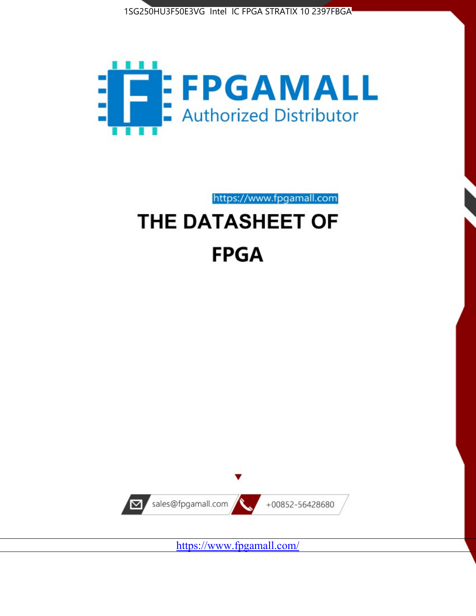



https://www.fpgamall.com

# THE DATASHEET OF **FPGA**



<https://www.fpgamall.com/>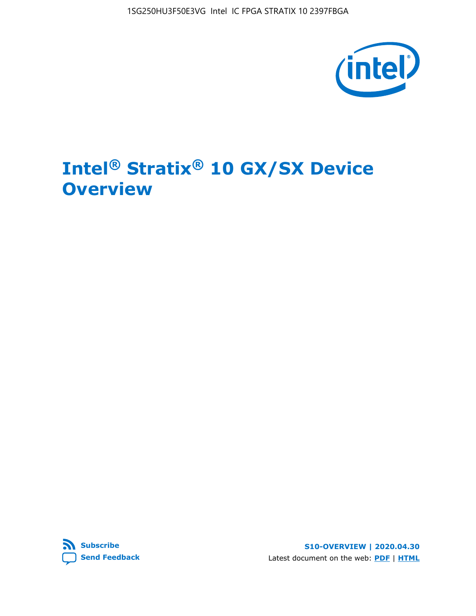

# **Intel® Stratix® 10 GX/SX Device Overview**



**S10-OVERVIEW | 2020.04.30** Latest document on the web: **[PDF](https://www.intel.com/content/dam/www/programmable/us/en/pdfs/literature/hb/stratix-10/s10-overview.pdf)** | **[HTML](https://www.intel.com/content/www/us/en/programmable/documentation/joc1442261161666.html)**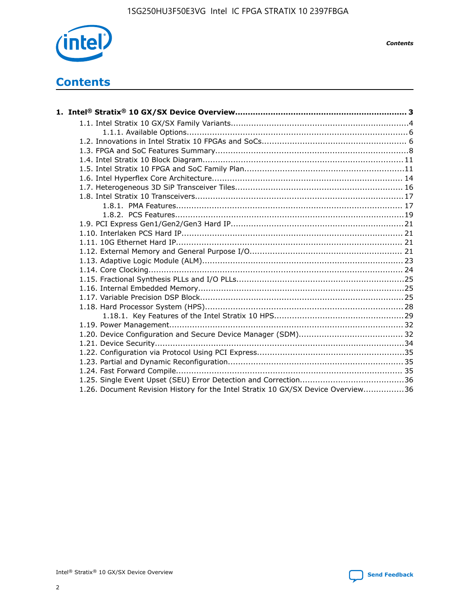

*Contents*

# **Contents**

| 1.26. Document Revision History for the Intel Stratix 10 GX/SX Device Overview36 |  |
|----------------------------------------------------------------------------------|--|

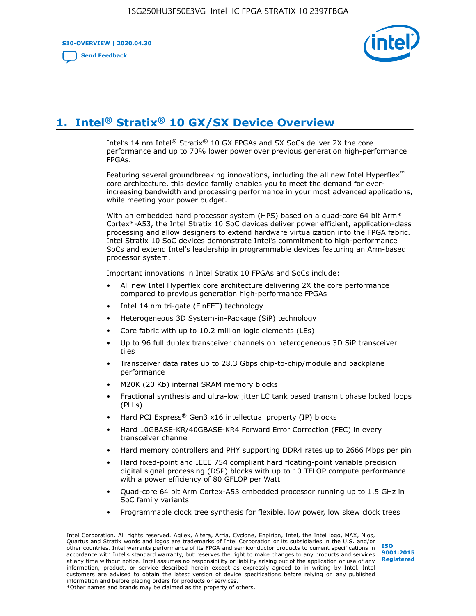**S10-OVERVIEW | 2020.04.30**

**[Send Feedback](mailto:FPGAtechdocfeedback@intel.com?subject=Feedback%20on%20Intel%20Stratix%2010%20GX/SX%20Device%20Overview%20(S10-OVERVIEW%202020.04.30)&body=We%20appreciate%20your%20feedback.%20In%20your%20comments,%20also%20specify%20the%20page%20number%20or%20paragraph.%20Thank%20you.)**



# **1. Intel® Stratix® 10 GX/SX Device Overview**

Intel's 14 nm Intel® Stratix® 10 GX FPGAs and SX SoCs deliver 2X the core performance and up to 70% lower power over previous generation high-performance FPGAs.

Featuring several groundbreaking innovations, including the all new Intel Hyperflex™ core architecture, this device family enables you to meet the demand for everincreasing bandwidth and processing performance in your most advanced applications, while meeting your power budget.

With an embedded hard processor system (HPS) based on a quad-core 64 bit Arm\* Cortex\*-A53, the Intel Stratix 10 SoC devices deliver power efficient, application-class processing and allow designers to extend hardware virtualization into the FPGA fabric. Intel Stratix 10 SoC devices demonstrate Intel's commitment to high-performance SoCs and extend Intel's leadership in programmable devices featuring an Arm-based processor system.

Important innovations in Intel Stratix 10 FPGAs and SoCs include:

- All new Intel Hyperflex core architecture delivering 2X the core performance compared to previous generation high-performance FPGAs
- Intel 14 nm tri-gate (FinFET) technology
- Heterogeneous 3D System-in-Package (SiP) technology
- Core fabric with up to 10.2 million logic elements (LEs)
- Up to 96 full duplex transceiver channels on heterogeneous 3D SiP transceiver tiles
- Transceiver data rates up to 28.3 Gbps chip-to-chip/module and backplane performance
- M20K (20 Kb) internal SRAM memory blocks
- Fractional synthesis and ultra-low jitter LC tank based transmit phase locked loops (PLLs)
- Hard PCI Express<sup>®</sup> Gen3 x16 intellectual property (IP) blocks
- Hard 10GBASE-KR/40GBASE-KR4 Forward Error Correction (FEC) in every transceiver channel
- Hard memory controllers and PHY supporting DDR4 rates up to 2666 Mbps per pin
- Hard fixed-point and IEEE 754 compliant hard floating-point variable precision digital signal processing (DSP) blocks with up to 10 TFLOP compute performance with a power efficiency of 80 GFLOP per Watt
- Quad-core 64 bit Arm Cortex-A53 embedded processor running up to 1.5 GHz in SoC family variants
- Programmable clock tree synthesis for flexible, low power, low skew clock trees

Intel Corporation. All rights reserved. Agilex, Altera, Arria, Cyclone, Enpirion, Intel, the Intel logo, MAX, Nios, Quartus and Stratix words and logos are trademarks of Intel Corporation or its subsidiaries in the U.S. and/or other countries. Intel warrants performance of its FPGA and semiconductor products to current specifications in accordance with Intel's standard warranty, but reserves the right to make changes to any products and services at any time without notice. Intel assumes no responsibility or liability arising out of the application or use of any information, product, or service described herein except as expressly agreed to in writing by Intel. Intel customers are advised to obtain the latest version of device specifications before relying on any published information and before placing orders for products or services. \*Other names and brands may be claimed as the property of others.

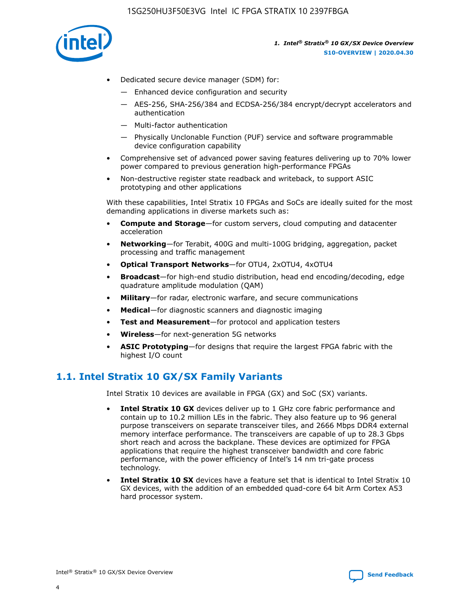

- Dedicated secure device manager (SDM) for:
	- Enhanced device configuration and security
	- AES-256, SHA-256/384 and ECDSA-256/384 encrypt/decrypt accelerators and authentication
	- Multi-factor authentication
	- Physically Unclonable Function (PUF) service and software programmable device configuration capability
- Comprehensive set of advanced power saving features delivering up to 70% lower power compared to previous generation high-performance FPGAs
- Non-destructive register state readback and writeback, to support ASIC prototyping and other applications

With these capabilities, Intel Stratix 10 FPGAs and SoCs are ideally suited for the most demanding applications in diverse markets such as:

- **Compute and Storage**—for custom servers, cloud computing and datacenter acceleration
- **Networking**—for Terabit, 400G and multi-100G bridging, aggregation, packet processing and traffic management
- **Optical Transport Networks**—for OTU4, 2xOTU4, 4xOTU4
- **Broadcast**—for high-end studio distribution, head end encoding/decoding, edge quadrature amplitude modulation (QAM)
- **Military**—for radar, electronic warfare, and secure communications
- **Medical**—for diagnostic scanners and diagnostic imaging
- **Test and Measurement**—for protocol and application testers
- **Wireless**—for next-generation 5G networks
- **ASIC Prototyping**—for designs that require the largest FPGA fabric with the highest I/O count

## **1.1. Intel Stratix 10 GX/SX Family Variants**

Intel Stratix 10 devices are available in FPGA (GX) and SoC (SX) variants.

- **Intel Stratix 10 GX** devices deliver up to 1 GHz core fabric performance and contain up to 10.2 million LEs in the fabric. They also feature up to 96 general purpose transceivers on separate transceiver tiles, and 2666 Mbps DDR4 external memory interface performance. The transceivers are capable of up to 28.3 Gbps short reach and across the backplane. These devices are optimized for FPGA applications that require the highest transceiver bandwidth and core fabric performance, with the power efficiency of Intel's 14 nm tri-gate process technology.
- **Intel Stratix 10 SX** devices have a feature set that is identical to Intel Stratix 10 GX devices, with the addition of an embedded quad-core 64 bit Arm Cortex A53 hard processor system.

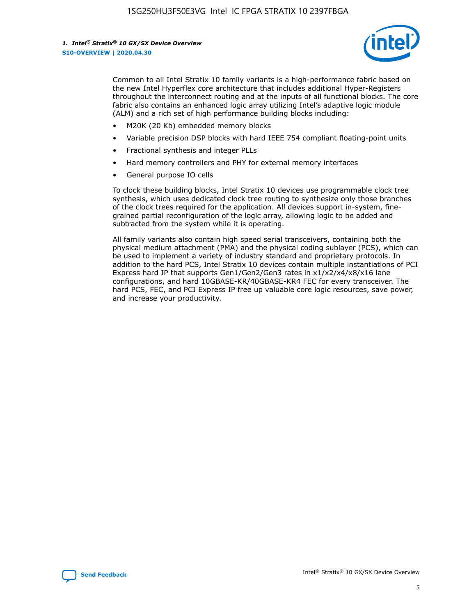

Common to all Intel Stratix 10 family variants is a high-performance fabric based on the new Intel Hyperflex core architecture that includes additional Hyper-Registers throughout the interconnect routing and at the inputs of all functional blocks. The core fabric also contains an enhanced logic array utilizing Intel's adaptive logic module (ALM) and a rich set of high performance building blocks including:

- M20K (20 Kb) embedded memory blocks
- Variable precision DSP blocks with hard IEEE 754 compliant floating-point units
- Fractional synthesis and integer PLLs
- Hard memory controllers and PHY for external memory interfaces
- General purpose IO cells

To clock these building blocks, Intel Stratix 10 devices use programmable clock tree synthesis, which uses dedicated clock tree routing to synthesize only those branches of the clock trees required for the application. All devices support in-system, finegrained partial reconfiguration of the logic array, allowing logic to be added and subtracted from the system while it is operating.

All family variants also contain high speed serial transceivers, containing both the physical medium attachment (PMA) and the physical coding sublayer (PCS), which can be used to implement a variety of industry standard and proprietary protocols. In addition to the hard PCS, Intel Stratix 10 devices contain multiple instantiations of PCI Express hard IP that supports Gen1/Gen2/Gen3 rates in x1/x2/x4/x8/x16 lane configurations, and hard 10GBASE-KR/40GBASE-KR4 FEC for every transceiver. The hard PCS, FEC, and PCI Express IP free up valuable core logic resources, save power, and increase your productivity.

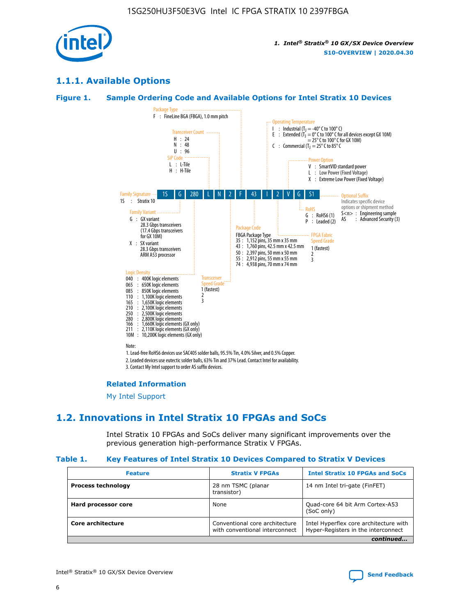

## **1.1.1. Available Options**

#### **Figure 1. Sample Ordering Code and Available Options for Intel Stratix 10 Devices**



## **Related Information**

[My Intel Support](https://www.intel.com/content/www/us/en/programmable/my-intel/mal-home.html)

## **1.2. Innovations in Intel Stratix 10 FPGAs and SoCs**

Intel Stratix 10 FPGAs and SoCs deliver many significant improvements over the previous generation high-performance Stratix V FPGAs.

#### **Table 1. Key Features of Intel Stratix 10 Devices Compared to Stratix V Devices**

| <b>Feature</b>            | <b>Stratix V FPGAs</b>                                           | <b>Intel Stratix 10 FPGAs and SoCs</b>                                        |  |  |  |
|---------------------------|------------------------------------------------------------------|-------------------------------------------------------------------------------|--|--|--|
| <b>Process technology</b> | 28 nm TSMC (planar<br>transistor)                                | 14 nm Intel tri-gate (FinFET)                                                 |  |  |  |
| Hard processor core       | None                                                             | Quad-core 64 bit Arm Cortex-A53<br>(SoC only)                                 |  |  |  |
| Core architecture         | Conventional core architecture<br>with conventional interconnect | Intel Hyperflex core architecture with<br>Hyper-Registers in the interconnect |  |  |  |
| continued                 |                                                                  |                                                                               |  |  |  |

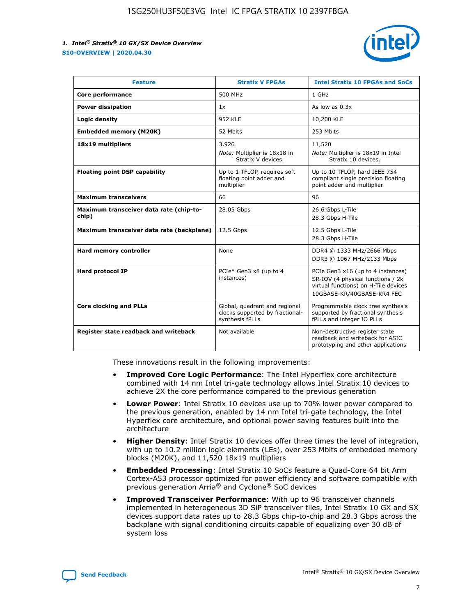

| <b>Feature</b>                                   | <b>Stratix V FPGAs</b>                                                              | <b>Intel Stratix 10 FPGAs and SoCs</b>                                                                                                       |
|--------------------------------------------------|-------------------------------------------------------------------------------------|----------------------------------------------------------------------------------------------------------------------------------------------|
| Core performance                                 | 500 MHz                                                                             | 1 GHz                                                                                                                                        |
| <b>Power dissipation</b>                         | 1x                                                                                  | As low as $0.3x$                                                                                                                             |
| Logic density                                    | 952 KLE                                                                             | 10,200 KLE                                                                                                                                   |
| <b>Embedded memory (M20K)</b>                    | 52 Mbits                                                                            | 253 Mbits                                                                                                                                    |
| 18x19 multipliers                                | 3,926                                                                               | 11,520                                                                                                                                       |
|                                                  | Note: Multiplier is 18x18 in<br>Stratix V devices.                                  | Note: Multiplier is 18x19 in Intel<br>Stratix 10 devices.                                                                                    |
| <b>Floating point DSP capability</b>             | Up to 1 TFLOP, requires soft<br>floating point adder and<br>multiplier              | Up to 10 TFLOP, hard IEEE 754<br>compliant single precision floating<br>point adder and multiplier                                           |
| <b>Maximum transceivers</b>                      | 66                                                                                  | 96                                                                                                                                           |
| Maximum transceiver data rate (chip-to-<br>chip) | 28.05 Gbps                                                                          | 26.6 Gbps L-Tile<br>28.3 Gbps H-Tile                                                                                                         |
| Maximum transceiver data rate (backplane)        | 12.5 Gbps                                                                           | 12.5 Gbps L-Tile<br>28.3 Gbps H-Tile                                                                                                         |
| Hard memory controller                           | None                                                                                | DDR4 @ 1333 MHz/2666 Mbps<br>DDR3 @ 1067 MHz/2133 Mbps                                                                                       |
| <b>Hard protocol IP</b>                          | PCIe* Gen3 x8 (up to 4<br>instances)                                                | PCIe Gen3 x16 (up to 4 instances)<br>SR-IOV (4 physical functions / 2k<br>virtual functions) on H-Tile devices<br>10GBASE-KR/40GBASE-KR4 FEC |
| <b>Core clocking and PLLs</b>                    | Global, quadrant and regional<br>clocks supported by fractional-<br>synthesis fPLLs | Programmable clock tree synthesis<br>supported by fractional synthesis<br>fPLLs and integer IO PLLs                                          |
| Register state readback and writeback            | Not available                                                                       | Non-destructive register state<br>readback and writeback for ASIC<br>prototyping and other applications                                      |

These innovations result in the following improvements:

- **Improved Core Logic Performance**: The Intel Hyperflex core architecture combined with 14 nm Intel tri-gate technology allows Intel Stratix 10 devices to achieve 2X the core performance compared to the previous generation
- **Lower Power**: Intel Stratix 10 devices use up to 70% lower power compared to the previous generation, enabled by 14 nm Intel tri-gate technology, the Intel Hyperflex core architecture, and optional power saving features built into the architecture
- **Higher Density**: Intel Stratix 10 devices offer three times the level of integration, with up to 10.2 million logic elements (LEs), over 253 Mbits of embedded memory blocks (M20K), and 11,520 18x19 multipliers
- **Embedded Processing**: Intel Stratix 10 SoCs feature a Quad-Core 64 bit Arm Cortex-A53 processor optimized for power efficiency and software compatible with previous generation Arria® and Cyclone® SoC devices
- **Improved Transceiver Performance**: With up to 96 transceiver channels implemented in heterogeneous 3D SiP transceiver tiles, Intel Stratix 10 GX and SX devices support data rates up to 28.3 Gbps chip-to-chip and 28.3 Gbps across the backplane with signal conditioning circuits capable of equalizing over 30 dB of system loss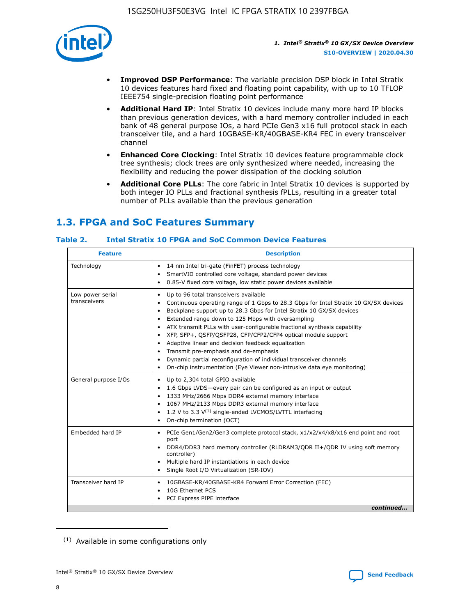

- **Improved DSP Performance**: The variable precision DSP block in Intel Stratix 10 devices features hard fixed and floating point capability, with up to 10 TFLOP IEEE754 single-precision floating point performance
- **Additional Hard IP**: Intel Stratix 10 devices include many more hard IP blocks than previous generation devices, with a hard memory controller included in each bank of 48 general purpose IOs, a hard PCIe Gen3 x16 full protocol stack in each transceiver tile, and a hard 10GBASE-KR/40GBASE-KR4 FEC in every transceiver channel
- **Enhanced Core Clocking**: Intel Stratix 10 devices feature programmable clock tree synthesis; clock trees are only synthesized where needed, increasing the flexibility and reducing the power dissipation of the clocking solution
- **Additional Core PLLs**: The core fabric in Intel Stratix 10 devices is supported by both integer IO PLLs and fractional synthesis fPLLs, resulting in a greater total number of PLLs available than the previous generation

# **1.3. FPGA and SoC Features Summary**

## **Table 2. Intel Stratix 10 FPGA and SoC Common Device Features**

| Technology<br>14 nm Intel tri-gate (FinFET) process technology<br>٠<br>SmartVID controlled core voltage, standard power devices<br>0.85-V fixed core voltage, low static power devices available<br>Up to 96 total transceivers available<br>Low power serial<br>٠<br>transceivers<br>Continuous operating range of 1 Gbps to 28.3 Gbps for Intel Stratix 10 GX/SX devices<br>Backplane support up to 28.3 Gbps for Intel Stratix 10 GX/SX devices<br>$\bullet$<br>Extended range down to 125 Mbps with oversampling<br>$\bullet$<br>• ATX transmit PLLs with user-configurable fractional synthesis capability<br>XFP, SFP+, QSFP/QSFP28, CFP/CFP2/CFP4 optical module support<br>• Adaptive linear and decision feedback equalization<br>Transmit pre-emphasis and de-emphasis<br>Dynamic partial reconfiguration of individual transceiver channels<br>$\bullet$<br>On-chip instrumentation (Eye Viewer non-intrusive data eye monitoring)<br>General purpose I/Os<br>Up to 2,304 total GPIO available<br>$\bullet$<br>1.6 Gbps LVDS-every pair can be configured as an input or output<br>1333 MHz/2666 Mbps DDR4 external memory interface<br>1067 MHz/2133 Mbps DDR3 external memory interface<br>• 1.2 V to 3.3 $V^{(1)}$ single-ended LVCMOS/LVTTL interfacing<br>• On-chip termination (OCT)<br>Embedded hard IP<br>PCIe Gen1/Gen2/Gen3 complete protocol stack, x1/x2/x4/x8/x16 end point and root<br>$\bullet$<br>port<br>DDR4/DDR3 hard memory controller (RLDRAM3/QDR II+/QDR IV using soft memory<br>controller)<br>Multiple hard IP instantiations in each device<br>• Single Root I/O Virtualization (SR-IOV)<br>Transceiver hard IP<br>10GBASE-KR/40GBASE-KR4 Forward Error Correction (FEC)<br>$\bullet$<br>10G Ethernet PCS<br>$\bullet$ | <b>Description</b><br><b>Feature</b> |  |  |  |
|-------------------------------------------------------------------------------------------------------------------------------------------------------------------------------------------------------------------------------------------------------------------------------------------------------------------------------------------------------------------------------------------------------------------------------------------------------------------------------------------------------------------------------------------------------------------------------------------------------------------------------------------------------------------------------------------------------------------------------------------------------------------------------------------------------------------------------------------------------------------------------------------------------------------------------------------------------------------------------------------------------------------------------------------------------------------------------------------------------------------------------------------------------------------------------------------------------------------------------------------------------------------------------------------------------------------------------------------------------------------------------------------------------------------------------------------------------------------------------------------------------------------------------------------------------------------------------------------------------------------------------------------------------------------------------------------------------------------------------------------------------------|--------------------------------------|--|--|--|
|                                                                                                                                                                                                                                                                                                                                                                                                                                                                                                                                                                                                                                                                                                                                                                                                                                                                                                                                                                                                                                                                                                                                                                                                                                                                                                                                                                                                                                                                                                                                                                                                                                                                                                                                                             |                                      |  |  |  |
|                                                                                                                                                                                                                                                                                                                                                                                                                                                                                                                                                                                                                                                                                                                                                                                                                                                                                                                                                                                                                                                                                                                                                                                                                                                                                                                                                                                                                                                                                                                                                                                                                                                                                                                                                             |                                      |  |  |  |
|                                                                                                                                                                                                                                                                                                                                                                                                                                                                                                                                                                                                                                                                                                                                                                                                                                                                                                                                                                                                                                                                                                                                                                                                                                                                                                                                                                                                                                                                                                                                                                                                                                                                                                                                                             |                                      |  |  |  |
|                                                                                                                                                                                                                                                                                                                                                                                                                                                                                                                                                                                                                                                                                                                                                                                                                                                                                                                                                                                                                                                                                                                                                                                                                                                                                                                                                                                                                                                                                                                                                                                                                                                                                                                                                             |                                      |  |  |  |
| PCI Express PIPE interface<br>continued                                                                                                                                                                                                                                                                                                                                                                                                                                                                                                                                                                                                                                                                                                                                                                                                                                                                                                                                                                                                                                                                                                                                                                                                                                                                                                                                                                                                                                                                                                                                                                                                                                                                                                                     |                                      |  |  |  |

<sup>(1)</sup> Available in some configurations only

8

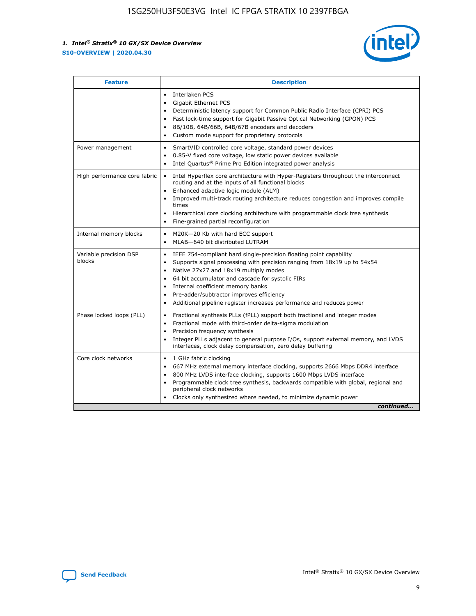

| <b>Feature</b>                   | <b>Description</b>                                                                                                                                                                                                                                                                                                                                                                                                                                                    |
|----------------------------------|-----------------------------------------------------------------------------------------------------------------------------------------------------------------------------------------------------------------------------------------------------------------------------------------------------------------------------------------------------------------------------------------------------------------------------------------------------------------------|
|                                  | Interlaken PCS<br>$\bullet$<br>Gigabit Ethernet PCS<br>$\bullet$<br>Deterministic latency support for Common Public Radio Interface (CPRI) PCS<br>$\bullet$<br>Fast lock-time support for Gigabit Passive Optical Networking (GPON) PCS<br>$\bullet$<br>8B/10B, 64B/66B, 64B/67B encoders and decoders<br>Custom mode support for proprietary protocols                                                                                                               |
| Power management                 | SmartVID controlled core voltage, standard power devices<br>$\bullet$<br>0.85-V fixed core voltage, low static power devices available<br>$\bullet$<br>Intel Quartus <sup>®</sup> Prime Pro Edition integrated power analysis<br>$\bullet$                                                                                                                                                                                                                            |
| High performance core fabric     | Intel Hyperflex core architecture with Hyper-Registers throughout the interconnect<br>routing and at the inputs of all functional blocks<br>Enhanced adaptive logic module (ALM)<br>$\bullet$<br>Improved multi-track routing architecture reduces congestion and improves compile<br>times<br>Hierarchical core clocking architecture with programmable clock tree synthesis<br>$\bullet$<br>Fine-grained partial reconfiguration                                    |
| Internal memory blocks           | M20K-20 Kb with hard ECC support<br>$\bullet$<br>MLAB-640 bit distributed LUTRAM<br>$\bullet$                                                                                                                                                                                                                                                                                                                                                                         |
| Variable precision DSP<br>blocks | IEEE 754-compliant hard single-precision floating point capability<br>$\bullet$<br>Supports signal processing with precision ranging from 18x19 up to 54x54<br>$\bullet$<br>Native 27x27 and 18x19 multiply modes<br>$\bullet$<br>64 bit accumulator and cascade for systolic FIRs<br>Internal coefficient memory banks<br>Pre-adder/subtractor improves efficiency<br>$\bullet$<br>Additional pipeline register increases performance and reduces power<br>$\bullet$ |
| Phase locked loops (PLL)         | Fractional synthesis PLLs (fPLL) support both fractional and integer modes<br>$\bullet$<br>Fractional mode with third-order delta-sigma modulation<br>Precision frequency synthesis<br>$\bullet$<br>Integer PLLs adjacent to general purpose I/Os, support external memory, and LVDS<br>$\bullet$<br>interfaces, clock delay compensation, zero delay buffering                                                                                                       |
| Core clock networks              | 1 GHz fabric clocking<br>$\bullet$<br>667 MHz external memory interface clocking, supports 2666 Mbps DDR4 interface<br>٠<br>800 MHz LVDS interface clocking, supports 1600 Mbps LVDS interface<br>$\bullet$<br>Programmable clock tree synthesis, backwards compatible with global, regional and<br>$\bullet$<br>peripheral clock networks<br>Clocks only synthesized where needed, to minimize dynamic power<br>continued                                            |

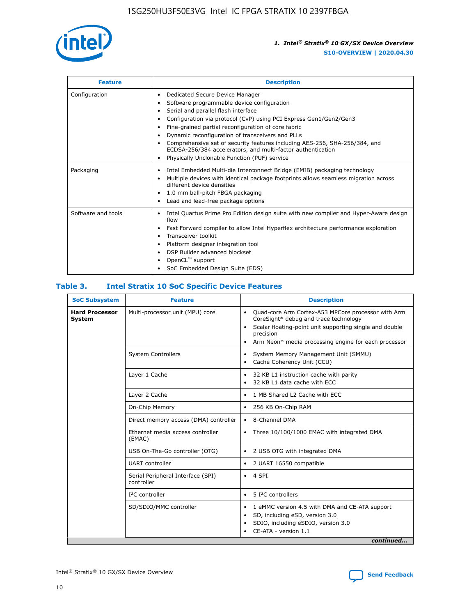

| <b>Feature</b>     | <b>Description</b>                                                                                                                                                                                                                                                                                                                                                                                                                                                                                               |  |  |  |
|--------------------|------------------------------------------------------------------------------------------------------------------------------------------------------------------------------------------------------------------------------------------------------------------------------------------------------------------------------------------------------------------------------------------------------------------------------------------------------------------------------------------------------------------|--|--|--|
| Configuration      | Dedicated Secure Device Manager<br>٠<br>Software programmable device configuration<br>Serial and parallel flash interface<br>Configuration via protocol (CvP) using PCI Express Gen1/Gen2/Gen3<br>Fine-grained partial reconfiguration of core fabric<br>٠<br>Dynamic reconfiguration of transceivers and PLLs<br>٠<br>Comprehensive set of security features including AES-256, SHA-256/384, and<br>ECDSA-256/384 accelerators, and multi-factor authentication<br>Physically Unclonable Function (PUF) service |  |  |  |
| Packaging          | Intel Embedded Multi-die Interconnect Bridge (EMIB) packaging technology<br>٠<br>Multiple devices with identical package footprints allows seamless migration across<br>$\bullet$<br>different device densities<br>1.0 mm ball-pitch FBGA packaging<br>٠<br>Lead and lead-free package options                                                                                                                                                                                                                   |  |  |  |
| Software and tools | Intel Quartus Prime Pro Edition design suite with new compiler and Hyper-Aware design<br>$\bullet$<br>flow<br>Fast Forward compiler to allow Intel Hyperflex architecture performance exploration<br>٠<br>Transceiver toolkit<br>Platform designer integration tool<br>DSP Builder advanced blockset<br>OpenCL <sup>™</sup> support<br>SoC Embedded Design Suite (EDS)                                                                                                                                           |  |  |  |

## **Table 3. Intel Stratix 10 SoC Specific Device Features**

| <b>SoC Subsystem</b>            | <b>Feature</b>                                  | <b>Description</b>                                                                                                                                                                                                                                                 |
|---------------------------------|-------------------------------------------------|--------------------------------------------------------------------------------------------------------------------------------------------------------------------------------------------------------------------------------------------------------------------|
| <b>Hard Processor</b><br>System | Multi-processor unit (MPU) core                 | Quad-core Arm Cortex-A53 MPCore processor with Arm<br>$\bullet$<br>CoreSight* debug and trace technology<br>Scalar floating-point unit supporting single and double<br>$\bullet$<br>precision<br>Arm Neon* media processing engine for each processor<br>$\bullet$ |
|                                 | <b>System Controllers</b>                       | System Memory Management Unit (SMMU)<br>$\bullet$<br>Cache Coherency Unit (CCU)<br>$\bullet$                                                                                                                                                                       |
|                                 | Layer 1 Cache                                   | 32 KB L1 instruction cache with parity<br>٠<br>32 KB L1 data cache with ECC<br>$\bullet$                                                                                                                                                                           |
|                                 | Layer 2 Cache                                   | 1 MB Shared L2 Cache with ECC                                                                                                                                                                                                                                      |
|                                 | On-Chip Memory                                  | 256 KB On-Chip RAM<br>$\bullet$                                                                                                                                                                                                                                    |
|                                 | Direct memory access (DMA) controller           | • 8-Channel DMA                                                                                                                                                                                                                                                    |
|                                 | Ethernet media access controller<br>(EMAC)      | Three 10/100/1000 EMAC with integrated DMA<br>$\bullet$                                                                                                                                                                                                            |
|                                 | USB On-The-Go controller (OTG)                  | 2 USB OTG with integrated DMA<br>$\bullet$                                                                                                                                                                                                                         |
|                                 | <b>UART</b> controller                          | 2 UART 16550 compatible<br>$\bullet$                                                                                                                                                                                                                               |
|                                 | Serial Peripheral Interface (SPI)<br>controller | $\bullet$ 4 SPI                                                                                                                                                                                                                                                    |
|                                 | $I2C$ controller                                | 5 <sup>2</sup> C controllers<br>$\bullet$                                                                                                                                                                                                                          |
|                                 | SD/SDIO/MMC controller                          | 1 eMMC version 4.5 with DMA and CE-ATA support<br>$\bullet$<br>SD, including eSD, version 3.0<br>٠<br>SDIO, including eSDIO, version 3.0<br>CE-ATA - version 1.1<br>continued                                                                                      |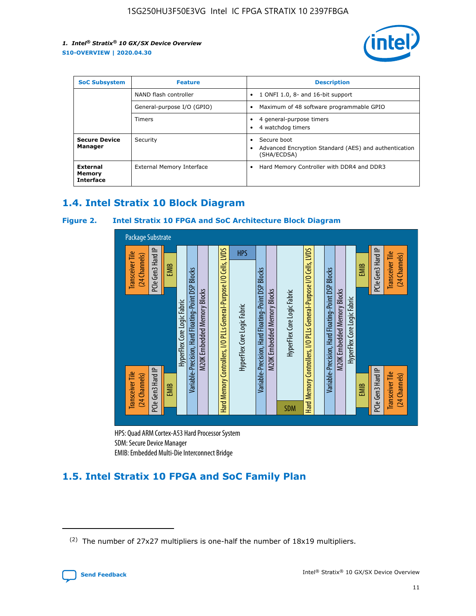

| <b>SoC Subsystem</b><br><b>Feature</b> |                            | <b>Description</b>                                                                                    |  |  |
|----------------------------------------|----------------------------|-------------------------------------------------------------------------------------------------------|--|--|
|                                        | NAND flash controller      | 1 ONFI 1.0, 8- and 16-bit support<br>$\bullet$                                                        |  |  |
|                                        | General-purpose I/O (GPIO) | Maximum of 48 software programmable GPIO<br>$\bullet$                                                 |  |  |
|                                        | Timers                     | 4 general-purpose timers<br>4 watchdog timers<br>٠                                                    |  |  |
| <b>Secure Device</b><br>Manager        | Security                   | Secure boot<br>$\bullet$<br>Advanced Encryption Standard (AES) and authentication<br>٠<br>(SHA/ECDSA) |  |  |
| External<br>Memory<br><b>Interface</b> | External Memory Interface  | Hard Memory Controller with DDR4 and DDR3<br>$\bullet$                                                |  |  |

## **1.4. Intel Stratix 10 Block Diagram**

## **Figure 2. Intel Stratix 10 FPGA and SoC Architecture Block Diagram**



HPS: Quad ARM Cortex-A53 Hard Processor System SDM: Secure Device Manager

# **1.5. Intel Stratix 10 FPGA and SoC Family Plan**

<sup>(2)</sup> The number of 27x27 multipliers is one-half the number of 18x19 multipliers.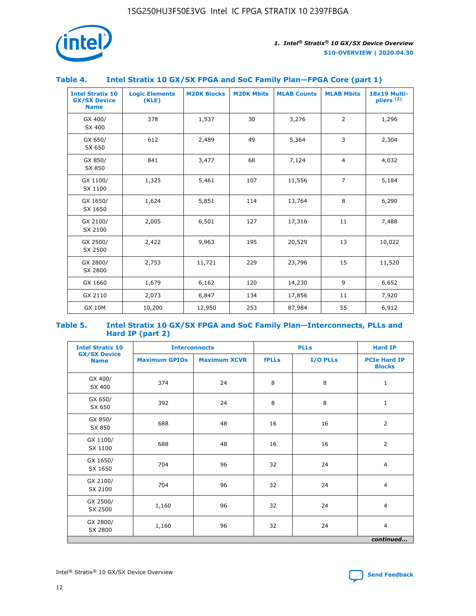

## **Table 4. Intel Stratix 10 GX/SX FPGA and SoC Family Plan—FPGA Core (part 1)**

| <b>Intel Stratix 10</b><br><b>GX/SX Device</b><br><b>Name</b> | <b>Logic Elements</b><br>(KLE) | <b>M20K Blocks</b> | <b>M20K Mbits</b> | <b>MLAB Counts</b> | <b>MLAB Mbits</b> | 18x19 Multi-<br>pliers <sup>(2)</sup> |
|---------------------------------------------------------------|--------------------------------|--------------------|-------------------|--------------------|-------------------|---------------------------------------|
| GX 400/<br>SX 400                                             | 378                            | 1,537              | 30                | 3,276              | $\overline{2}$    | 1,296                                 |
| GX 650/<br>SX 650                                             | 612                            | 2,489              | 49                | 5,364              | 3                 | 2,304                                 |
| GX 850/<br>SX 850                                             | 841                            | 3,477              | 68                | 7,124              | $\overline{4}$    | 4,032                                 |
| GX 1100/<br>SX 1100                                           | 1,325                          | 5,461              | 107               | 11,556             | $\overline{7}$    | 5,184                                 |
| GX 1650/<br>SX 1650                                           | 1,624                          | 5,851              | 114               | 13,764             | 8                 | 6,290                                 |
| GX 2100/<br>SX 2100                                           | 2,005                          | 6,501              | 127               | 17,316             | 11                | 7,488                                 |
| GX 2500/<br>SX 2500                                           | 2,422                          | 9,963              | 195               | 20,529             | 13                | 10,022                                |
| GX 2800/<br>SX 2800                                           | 2,753                          | 11,721             | 229               | 23,796             | 15                | 11,520                                |
| GX 1660                                                       | 1,679                          | 6,162              | 120               | 14,230             | 9                 | 6,652                                 |
| GX 2110                                                       | 2,073                          | 6,847              | 134               | 17,856             | 11                | 7,920                                 |
| <b>GX 10M</b>                                                 | 10,200                         | 12,950             | 253               | 87,984             | 55                | 6,912                                 |

#### **Table 5. Intel Stratix 10 GX/SX FPGA and SoC Family Plan—Interconnects, PLLs and Hard IP (part 2)**

| <b>Intel Stratix 10</b>            | <b>Interconnects</b> |                     |              | <b>PLLs</b> |                                      |  |
|------------------------------------|----------------------|---------------------|--------------|-------------|--------------------------------------|--|
| <b>GX/SX Device</b><br><b>Name</b> | <b>Maximum GPIOs</b> | <b>Maximum XCVR</b> | <b>fPLLs</b> | I/O PLLs    | <b>PCIe Hard IP</b><br><b>Blocks</b> |  |
| GX 400/<br>SX 400                  | 374                  | 24                  | 8            | 8           | $\mathbf{1}$                         |  |
| GX 650/<br>SX 650                  | 392                  | 24                  | 8            | 8           | $\mathbf{1}$                         |  |
| GX 850/<br>SX 850                  | 688                  | 48                  | 16           | 16          | 2                                    |  |
| GX 1100/<br>SX 1100                | 688                  | 48                  | 16           | 16          | $\overline{2}$                       |  |
| GX 1650/<br>SX 1650                | 704                  | 96                  | 32           | 24          | $\overline{4}$                       |  |
| GX 2100/<br>SX 2100                | 704                  | 96                  | 32           | 24          | $\overline{4}$                       |  |
| GX 2500/<br>SX 2500                | 1,160                | 96                  | 32           | 24          | $\overline{4}$                       |  |
| GX 2800/<br>SX 2800                | 1,160                | 96                  | 32           | 24          | $\overline{4}$                       |  |
| continued                          |                      |                     |              |             |                                      |  |

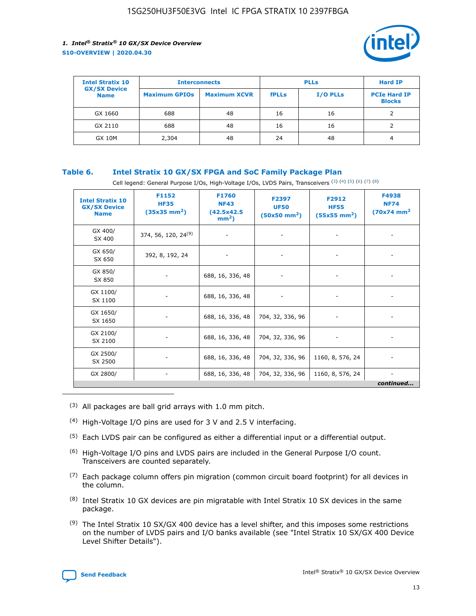

| <b>Intel Stratix 10</b>            |                      | <b>Interconnects</b> |              | <b>PLLs</b>     | <b>Hard IP</b>                       |
|------------------------------------|----------------------|----------------------|--------------|-----------------|--------------------------------------|
| <b>GX/SX Device</b><br><b>Name</b> | <b>Maximum GPIOs</b> | <b>Maximum XCVR</b>  | <b>fPLLs</b> | <b>I/O PLLs</b> | <b>PCIe Hard IP</b><br><b>Blocks</b> |
| GX 1660                            | 688                  | 48                   | 16           | 16              |                                      |
| GX 2110                            | 688                  | 48                   | 16           | 16              |                                      |
| <b>GX 10M</b>                      | 2,304                | 48                   | 24           | 48              | 4                                    |

## **Table 6. Intel Stratix 10 GX/SX FPGA and SoC Family Package Plan**

Cell legend: General Purpose I/Os, High-Voltage I/Os, LVDS Pairs, Transceivers (3) (4) (5) (6) (7) (8)

| <b>Intel Stratix 10</b><br><b>GX/SX Device</b><br><b>Name</b> | F1152<br><b>HF35</b><br>$(35x35 \text{ mm}^2)$ | F1760<br><b>NF43</b><br>(42.5x42.5<br>$mm2$ ) | F2397<br><b>UF50</b><br>$(50x50 \text{ mm}^2)$ | F2912<br><b>HF55</b><br>$(55x55$ mm <sup>2</sup> ) | F4938<br><b>NF74</b><br>$(70x74)$ mm <sup>2</sup> |
|---------------------------------------------------------------|------------------------------------------------|-----------------------------------------------|------------------------------------------------|----------------------------------------------------|---------------------------------------------------|
| GX 400/<br>SX 400                                             | 374, 56, 120, 24 <sup>(9)</sup>                | $\overline{\phantom{a}}$                      | $\overline{\phantom{a}}$                       | ۰                                                  |                                                   |
| GX 650/<br>SX 650                                             | 392, 8, 192, 24                                | $\overline{\phantom{a}}$                      | $\overline{\phantom{a}}$                       |                                                    |                                                   |
| GX 850/<br>SX 850                                             | ۰.                                             | 688, 16, 336, 48                              |                                                |                                                    |                                                   |
| GX 1100/<br>SX 1100                                           |                                                | 688, 16, 336, 48                              |                                                |                                                    |                                                   |
| GX 1650/<br>SX 1650                                           |                                                | 688, 16, 336, 48                              | 704, 32, 336, 96                               |                                                    |                                                   |
| GX 2100/<br>SX 2100                                           | -                                              | 688, 16, 336, 48                              | 704, 32, 336, 96                               | $\overline{\phantom{a}}$                           |                                                   |
| GX 2500/<br>SX 2500                                           |                                                | 688, 16, 336, 48                              | 704, 32, 336, 96                               | 1160, 8, 576, 24                                   |                                                   |
| GX 2800/                                                      | ۰                                              | 688, 16, 336, 48                              | 704, 32, 336, 96                               | 1160, 8, 576, 24                                   | $\overline{\phantom{a}}$<br>continued             |

- (3) All packages are ball grid arrays with 1.0 mm pitch.
- (4) High-Voltage I/O pins are used for 3 V and 2.5 V interfacing.
- $(5)$  Each LVDS pair can be configured as either a differential input or a differential output.
- (6) High-Voltage I/O pins and LVDS pairs are included in the General Purpose I/O count. Transceivers are counted separately.
- $(7)$  Each package column offers pin migration (common circuit board footprint) for all devices in the column.
- $(8)$  Intel Stratix 10 GX devices are pin migratable with Intel Stratix 10 SX devices in the same package.
- $(9)$  The Intel Stratix 10 SX/GX 400 device has a level shifter, and this imposes some restrictions on the number of LVDS pairs and I/O banks available (see "Intel Stratix 10 SX/GX 400 Device Level Shifter Details").

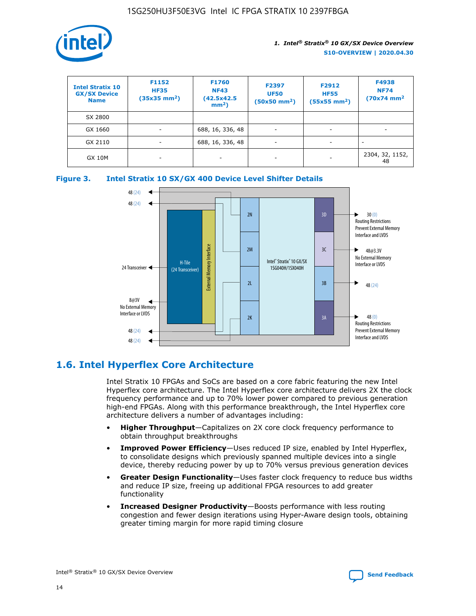

| <b>Intel Stratix 10</b><br><b>GX/SX Device</b><br><b>Name</b> | F1152<br><b>HF35</b><br>$(35x35)$ mm <sup>2</sup> ) | F1760<br><b>NF43</b><br>(42.5x42.5<br>$mm2$ ) | F2397<br><b>UF50</b><br>$(50x50 \text{ mm}^2)$ | F2912<br><b>HF55</b><br>$(55x55$ mm <sup>2</sup> ) | F4938<br><b>NF74</b><br>$(70x74)$ mm <sup>2</sup> |
|---------------------------------------------------------------|-----------------------------------------------------|-----------------------------------------------|------------------------------------------------|----------------------------------------------------|---------------------------------------------------|
| SX 2800                                                       |                                                     |                                               |                                                |                                                    |                                                   |
| GX 1660                                                       | -                                                   | 688, 16, 336, 48                              | $\overline{\phantom{a}}$                       |                                                    |                                                   |
| GX 2110                                                       |                                                     | 688, 16, 336, 48                              | $\overline{\phantom{a}}$                       |                                                    |                                                   |
| <b>GX 10M</b>                                                 | ۰                                                   |                                               |                                                |                                                    | 2304, 32, 1152,<br>48                             |





## **1.6. Intel Hyperflex Core Architecture**

Intel Stratix 10 FPGAs and SoCs are based on a core fabric featuring the new Intel Hyperflex core architecture. The Intel Hyperflex core architecture delivers 2X the clock frequency performance and up to 70% lower power compared to previous generation high-end FPGAs. Along with this performance breakthrough, the Intel Hyperflex core architecture delivers a number of advantages including:

- **Higher Throughput**—Capitalizes on 2X core clock frequency performance to obtain throughput breakthroughs
- **Improved Power Efficiency**—Uses reduced IP size, enabled by Intel Hyperflex, to consolidate designs which previously spanned multiple devices into a single device, thereby reducing power by up to 70% versus previous generation devices
- **Greater Design Functionality**—Uses faster clock frequency to reduce bus widths and reduce IP size, freeing up additional FPGA resources to add greater functionality
- **Increased Designer Productivity**—Boosts performance with less routing congestion and fewer design iterations using Hyper-Aware design tools, obtaining greater timing margin for more rapid timing closure

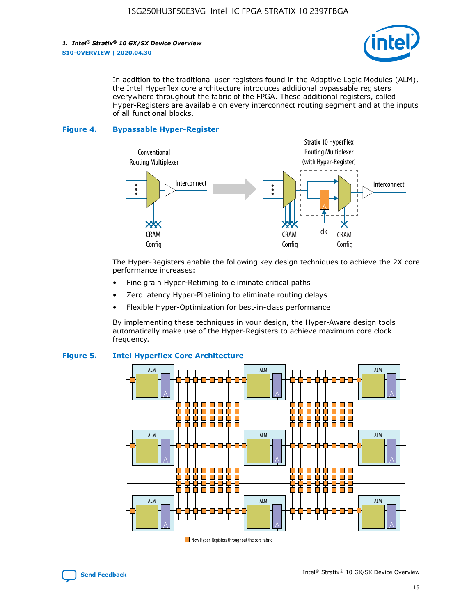

In addition to the traditional user registers found in the Adaptive Logic Modules (ALM), the Intel Hyperflex core architecture introduces additional bypassable registers everywhere throughout the fabric of the FPGA. These additional registers, called Hyper-Registers are available on every interconnect routing segment and at the inputs of all functional blocks.

#### **Figure 4. Bypassable Hyper-Register**



The Hyper-Registers enable the following key design techniques to achieve the 2X core performance increases:

- Fine grain Hyper-Retiming to eliminate critical paths
- Zero latency Hyper-Pipelining to eliminate routing delays
- Flexible Hyper-Optimization for best-in-class performance

By implementing these techniques in your design, the Hyper-Aware design tools automatically make use of the Hyper-Registers to achieve maximum core clock frequency.



## **Figure 5. Intel Hyperflex Core Architecture**

New Hyper-Registers throughout the core fabric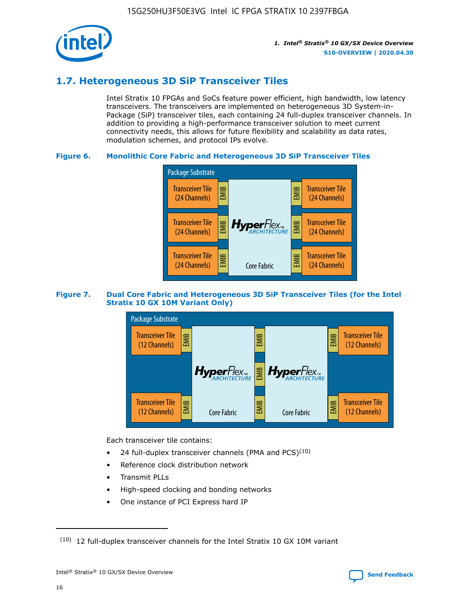

## **1.7. Heterogeneous 3D SiP Transceiver Tiles**

Intel Stratix 10 FPGAs and SoCs feature power efficient, high bandwidth, low latency transceivers. The transceivers are implemented on heterogeneous 3D System-in-Package (SiP) transceiver tiles, each containing 24 full-duplex transceiver channels. In addition to providing a high-performance transceiver solution to meet current connectivity needs, this allows for future flexibility and scalability as data rates, modulation schemes, and protocol IPs evolve.

## **Figure 6. Monolithic Core Fabric and Heterogeneous 3D SiP Transceiver Tiles**



## **Figure 7. Dual Core Fabric and Heterogeneous 3D SiP Transceiver Tiles (for the Intel Stratix 10 GX 10M Variant Only)**



Each transceiver tile contains:

- 24 full-duplex transceiver channels (PMA and PCS) $(10)$
- Reference clock distribution network
- Transmit PLLs
- High-speed clocking and bonding networks
- One instance of PCI Express hard IP

 $(10)$  12 full-duplex transceiver channels for the Intel Stratix 10 GX 10M variant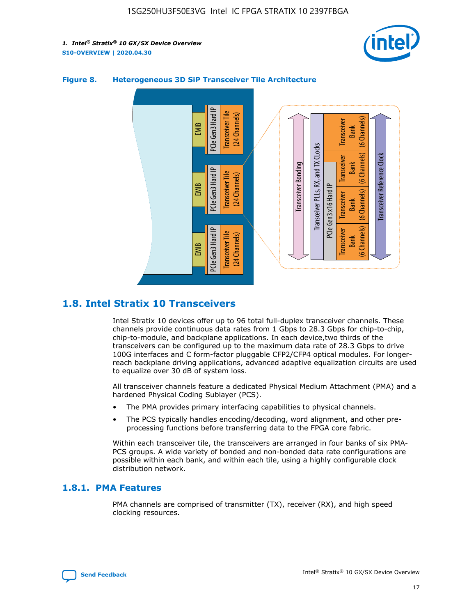



## **Figure 8. Heterogeneous 3D SiP Transceiver Tile Architecture**

## **1.8. Intel Stratix 10 Transceivers**

Intel Stratix 10 devices offer up to 96 total full-duplex transceiver channels. These channels provide continuous data rates from 1 Gbps to 28.3 Gbps for chip-to-chip, chip-to-module, and backplane applications. In each device,two thirds of the transceivers can be configured up to the maximum data rate of 28.3 Gbps to drive 100G interfaces and C form-factor pluggable CFP2/CFP4 optical modules. For longerreach backplane driving applications, advanced adaptive equalization circuits are used to equalize over 30 dB of system loss.

All transceiver channels feature a dedicated Physical Medium Attachment (PMA) and a hardened Physical Coding Sublayer (PCS).

- The PMA provides primary interfacing capabilities to physical channels.
- The PCS typically handles encoding/decoding, word alignment, and other preprocessing functions before transferring data to the FPGA core fabric.

Within each transceiver tile, the transceivers are arranged in four banks of six PMA-PCS groups. A wide variety of bonded and non-bonded data rate configurations are possible within each bank, and within each tile, using a highly configurable clock distribution network.

## **1.8.1. PMA Features**

PMA channels are comprised of transmitter (TX), receiver (RX), and high speed clocking resources.

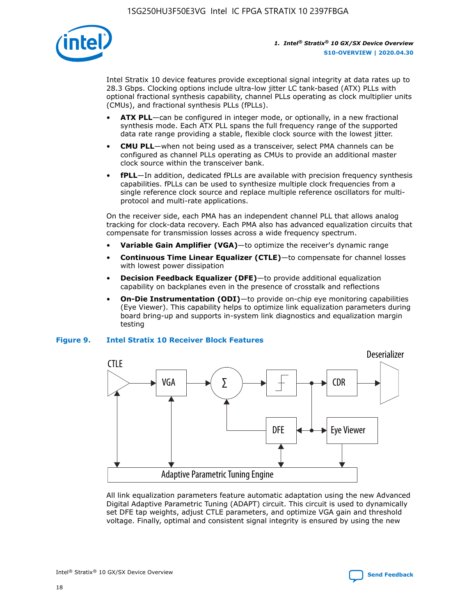

Intel Stratix 10 device features provide exceptional signal integrity at data rates up to 28.3 Gbps. Clocking options include ultra-low jitter LC tank-based (ATX) PLLs with optional fractional synthesis capability, channel PLLs operating as clock multiplier units (CMUs), and fractional synthesis PLLs (fPLLs).

- **ATX PLL**—can be configured in integer mode, or optionally, in a new fractional synthesis mode. Each ATX PLL spans the full frequency range of the supported data rate range providing a stable, flexible clock source with the lowest jitter.
- **CMU PLL**—when not being used as a transceiver, select PMA channels can be configured as channel PLLs operating as CMUs to provide an additional master clock source within the transceiver bank.
- **fPLL**—In addition, dedicated fPLLs are available with precision frequency synthesis capabilities. fPLLs can be used to synthesize multiple clock frequencies from a single reference clock source and replace multiple reference oscillators for multiprotocol and multi-rate applications.

On the receiver side, each PMA has an independent channel PLL that allows analog tracking for clock-data recovery. Each PMA also has advanced equalization circuits that compensate for transmission losses across a wide frequency spectrum.

- **Variable Gain Amplifier (VGA)**—to optimize the receiver's dynamic range
- **Continuous Time Linear Equalizer (CTLE)**—to compensate for channel losses with lowest power dissipation
- **Decision Feedback Equalizer (DFE)**—to provide additional equalization capability on backplanes even in the presence of crosstalk and reflections
- **On-Die Instrumentation (ODI)**—to provide on-chip eye monitoring capabilities (Eye Viewer). This capability helps to optimize link equalization parameters during board bring-up and supports in-system link diagnostics and equalization margin testing

#### **Figure 9. Intel Stratix 10 Receiver Block Features**



All link equalization parameters feature automatic adaptation using the new Advanced Digital Adaptive Parametric Tuning (ADAPT) circuit. This circuit is used to dynamically set DFE tap weights, adjust CTLE parameters, and optimize VGA gain and threshold voltage. Finally, optimal and consistent signal integrity is ensured by using the new

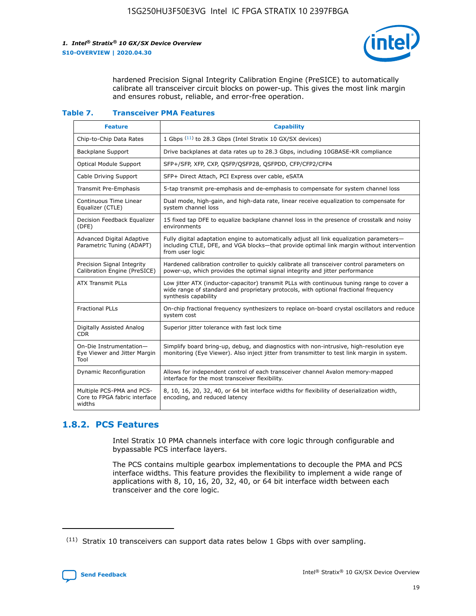

hardened Precision Signal Integrity Calibration Engine (PreSICE) to automatically calibrate all transceiver circuit blocks on power-up. This gives the most link margin and ensures robust, reliable, and error-free operation.

#### **Table 7. Transceiver PMA Features**

| <b>Feature</b>                                                       | <b>Capability</b>                                                                                                                                                                                         |
|----------------------------------------------------------------------|-----------------------------------------------------------------------------------------------------------------------------------------------------------------------------------------------------------|
| Chip-to-Chip Data Rates                                              | 1 Gbps (11) to 28.3 Gbps (Intel Stratix 10 GX/SX devices)                                                                                                                                                 |
| <b>Backplane Support</b>                                             | Drive backplanes at data rates up to 28.3 Gbps, including 10GBASE-KR compliance                                                                                                                           |
| Optical Module Support                                               | SFP+/SFP, XFP, CXP, QSFP/QSFP28, QSFPDD, CFP/CFP2/CFP4                                                                                                                                                    |
| Cable Driving Support                                                | SFP+ Direct Attach, PCI Express over cable, eSATA                                                                                                                                                         |
| <b>Transmit Pre-Emphasis</b>                                         | 5-tap transmit pre-emphasis and de-emphasis to compensate for system channel loss                                                                                                                         |
| Continuous Time Linear<br>Equalizer (CTLE)                           | Dual mode, high-gain, and high-data rate, linear receive equalization to compensate for<br>system channel loss                                                                                            |
| Decision Feedback Equalizer<br>(DFE)                                 | 15 fixed tap DFE to equalize backplane channel loss in the presence of crosstalk and noisy<br>environments                                                                                                |
| Advanced Digital Adaptive<br>Parametric Tuning (ADAPT)               | Fully digital adaptation engine to automatically adjust all link equalization parameters-<br>including CTLE, DFE, and VGA blocks-that provide optimal link margin without intervention<br>from user logic |
| Precision Signal Integrity<br>Calibration Engine (PreSICE)           | Hardened calibration controller to quickly calibrate all transceiver control parameters on<br>power-up, which provides the optimal signal integrity and jitter performance                                |
| <b>ATX Transmit PLLs</b>                                             | Low jitter ATX (inductor-capacitor) transmit PLLs with continuous tuning range to cover a<br>wide range of standard and proprietary protocols, with optional fractional frequency<br>synthesis capability |
| <b>Fractional PLLs</b>                                               | On-chip fractional frequency synthesizers to replace on-board crystal oscillators and reduce<br>system cost                                                                                               |
| Digitally Assisted Analog<br>CDR.                                    | Superior jitter tolerance with fast lock time                                                                                                                                                             |
| On-Die Instrumentation-<br>Eye Viewer and Jitter Margin<br>Tool      | Simplify board bring-up, debug, and diagnostics with non-intrusive, high-resolution eye<br>monitoring (Eye Viewer). Also inject jitter from transmitter to test link margin in system.                    |
| Dynamic Reconfiguration                                              | Allows for independent control of each transceiver channel Avalon memory-mapped<br>interface for the most transceiver flexibility.                                                                        |
| Multiple PCS-PMA and PCS-<br>Core to FPGA fabric interface<br>widths | 8, 10, 16, 20, 32, 40, or 64 bit interface widths for flexibility of deserialization width,<br>encoding, and reduced latency                                                                              |

## **1.8.2. PCS Features**

Intel Stratix 10 PMA channels interface with core logic through configurable and bypassable PCS interface layers.

The PCS contains multiple gearbox implementations to decouple the PMA and PCS interface widths. This feature provides the flexibility to implement a wide range of applications with 8, 10, 16, 20, 32, 40, or 64 bit interface width between each transceiver and the core logic.

<sup>(11)</sup> Stratix 10 transceivers can support data rates below 1 Gbps with over sampling.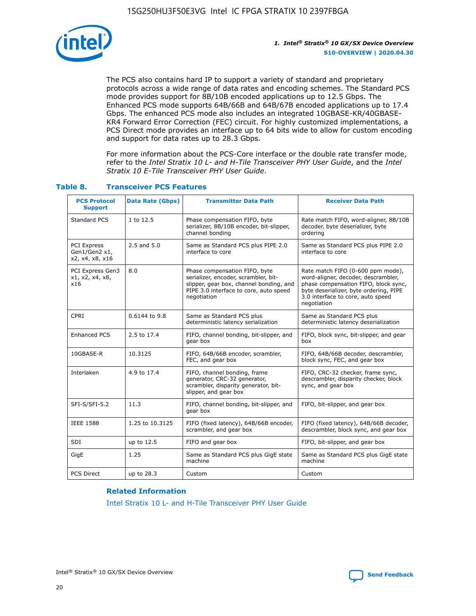

The PCS also contains hard IP to support a variety of standard and proprietary protocols across a wide range of data rates and encoding schemes. The Standard PCS mode provides support for 8B/10B encoded applications up to 12.5 Gbps. The Enhanced PCS mode supports 64B/66B and 64B/67B encoded applications up to 17.4 Gbps. The enhanced PCS mode also includes an integrated 10GBASE-KR/40GBASE-KR4 Forward Error Correction (FEC) circuit. For highly customized implementations, a PCS Direct mode provides an interface up to 64 bits wide to allow for custom encoding and support for data rates up to 28.3 Gbps.

For more information about the PCS-Core interface or the double rate transfer mode, refer to the *Intel Stratix 10 L- and H-Tile Transceiver PHY User Guide*, and the *Intel Stratix 10 E-Tile Transceiver PHY User Guide*.

| <b>PCS Protocol</b><br><b>Support</b>           | Data Rate (Gbps) | <b>Transmitter Data Path</b>                                                                                                                                              | <b>Receiver Data Path</b>                                                                                                                                                                                      |
|-------------------------------------------------|------------------|---------------------------------------------------------------------------------------------------------------------------------------------------------------------------|----------------------------------------------------------------------------------------------------------------------------------------------------------------------------------------------------------------|
| Standard PCS                                    | 1 to 12.5        | Phase compensation FIFO, byte<br>serializer, 8B/10B encoder, bit-slipper,<br>channel bonding                                                                              | Rate match FIFO, word-aligner, 8B/10B<br>decoder, byte deserializer, byte<br>ordering                                                                                                                          |
| PCI Express<br>Gen1/Gen2 x1,<br>x2, x4, x8, x16 | $2.5$ and $5.0$  | Same as Standard PCS plus PIPE 2.0<br>interface to core                                                                                                                   | Same as Standard PCS plus PIPE 2.0<br>interface to core                                                                                                                                                        |
| PCI Express Gen3<br>x1, x2, x4, x8,<br>x16      | 8.0              | Phase compensation FIFO, byte<br>serializer, encoder, scrambler, bit-<br>slipper, gear box, channel bonding, and<br>PIPE 3.0 interface to core, auto speed<br>negotiation | Rate match FIFO (0-600 ppm mode),<br>word-aligner, decoder, descrambler,<br>phase compensation FIFO, block sync,<br>byte deserializer, byte ordering, PIPE<br>3.0 interface to core, auto speed<br>negotiation |
| CPRI                                            | 0.6144 to 9.8    | Same as Standard PCS plus<br>deterministic latency serialization                                                                                                          | Same as Standard PCS plus<br>deterministic latency deserialization                                                                                                                                             |
| <b>Enhanced PCS</b>                             | 2.5 to 17.4      | FIFO, channel bonding, bit-slipper, and<br>gear box                                                                                                                       | FIFO, block sync, bit-slipper, and gear<br>box                                                                                                                                                                 |
| 10GBASE-R                                       | 10.3125          | FIFO, 64B/66B encoder, scrambler,<br>FEC, and gear box                                                                                                                    | FIFO, 64B/66B decoder, descrambler,<br>block sync, FEC, and gear box                                                                                                                                           |
| Interlaken                                      | 4.9 to 17.4      | FIFO, channel bonding, frame<br>generator, CRC-32 generator,<br>scrambler, disparity generator, bit-<br>slipper, and gear box                                             | FIFO, CRC-32 checker, frame sync,<br>descrambler, disparity checker, block<br>sync, and gear box                                                                                                               |
| SFI-S/SFI-5.2                                   | 11.3             | FIFO, channel bonding, bit-slipper, and<br>gear box                                                                                                                       | FIFO, bit-slipper, and gear box                                                                                                                                                                                |
| <b>IEEE 1588</b>                                | 1.25 to 10.3125  | FIFO (fixed latency), 64B/66B encoder,<br>scrambler, and gear box                                                                                                         | FIFO (fixed latency), 64B/66B decoder,<br>descrambler, block sync, and gear box                                                                                                                                |
| SDI                                             | up to 12.5       | FIFO and gear box                                                                                                                                                         | FIFO, bit-slipper, and gear box                                                                                                                                                                                |
| GigE                                            | 1.25             | Same as Standard PCS plus GigE state<br>machine                                                                                                                           | Same as Standard PCS plus GigE state<br>machine                                                                                                                                                                |
| <b>PCS Direct</b>                               | up to 28.3       | Custom                                                                                                                                                                    | Custom                                                                                                                                                                                                         |

## **Table 8. Transceiver PCS Features**

#### **Related Information**

[Intel Stratix 10 L- and H-Tile Transceiver PHY User Guide](https://www.altera.com/documentation/wry1479165198810.html)

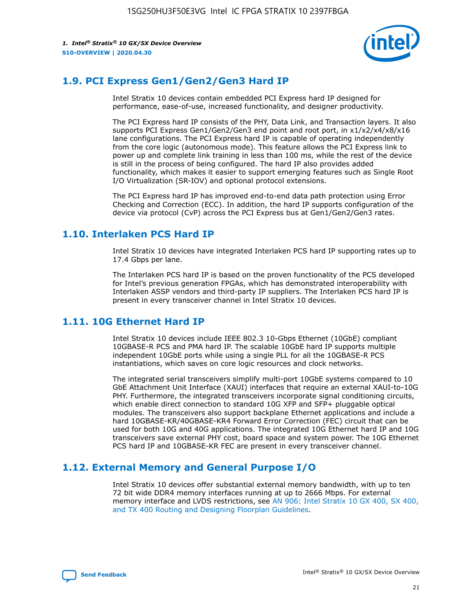

## **1.9. PCI Express Gen1/Gen2/Gen3 Hard IP**

Intel Stratix 10 devices contain embedded PCI Express hard IP designed for performance, ease-of-use, increased functionality, and designer productivity.

The PCI Express hard IP consists of the PHY, Data Link, and Transaction layers. It also supports PCI Express Gen1/Gen2/Gen3 end point and root port, in x1/x2/x4/x8/x16 lane configurations. The PCI Express hard IP is capable of operating independently from the core logic (autonomous mode). This feature allows the PCI Express link to power up and complete link training in less than 100 ms, while the rest of the device is still in the process of being configured. The hard IP also provides added functionality, which makes it easier to support emerging features such as Single Root I/O Virtualization (SR-IOV) and optional protocol extensions.

The PCI Express hard IP has improved end-to-end data path protection using Error Checking and Correction (ECC). In addition, the hard IP supports configuration of the device via protocol (CvP) across the PCI Express bus at Gen1/Gen2/Gen3 rates.

## **1.10. Interlaken PCS Hard IP**

Intel Stratix 10 devices have integrated Interlaken PCS hard IP supporting rates up to 17.4 Gbps per lane.

The Interlaken PCS hard IP is based on the proven functionality of the PCS developed for Intel's previous generation FPGAs, which has demonstrated interoperability with Interlaken ASSP vendors and third-party IP suppliers. The Interlaken PCS hard IP is present in every transceiver channel in Intel Stratix 10 devices.

## **1.11. 10G Ethernet Hard IP**

Intel Stratix 10 devices include IEEE 802.3 10-Gbps Ethernet (10GbE) compliant 10GBASE-R PCS and PMA hard IP. The scalable 10GbE hard IP supports multiple independent 10GbE ports while using a single PLL for all the 10GBASE-R PCS instantiations, which saves on core logic resources and clock networks.

The integrated serial transceivers simplify multi-port 10GbE systems compared to 10 GbE Attachment Unit Interface (XAUI) interfaces that require an external XAUI-to-10G PHY. Furthermore, the integrated transceivers incorporate signal conditioning circuits, which enable direct connection to standard 10G XFP and SFP+ pluggable optical modules. The transceivers also support backplane Ethernet applications and include a hard 10GBASE-KR/40GBASE-KR4 Forward Error Correction (FEC) circuit that can be used for both 10G and 40G applications. The integrated 10G Ethernet hard IP and 10G transceivers save external PHY cost, board space and system power. The 10G Ethernet PCS hard IP and 10GBASE-KR FEC are present in every transceiver channel.

## **1.12. External Memory and General Purpose I/O**

Intel Stratix 10 devices offer substantial external memory bandwidth, with up to ten 72 bit wide DDR4 memory interfaces running at up to 2666 Mbps. For external memory interface and LVDS restrictions, see [AN 906: Intel Stratix 10 GX 400, SX 400,](https://www.intel.com/content/www/us/en/programmable/documentation/sjf1574667190623.html#bft1574667627484) [and TX 400 Routing and Designing Floorplan Guidelines.](https://www.intel.com/content/www/us/en/programmable/documentation/sjf1574667190623.html#bft1574667627484)

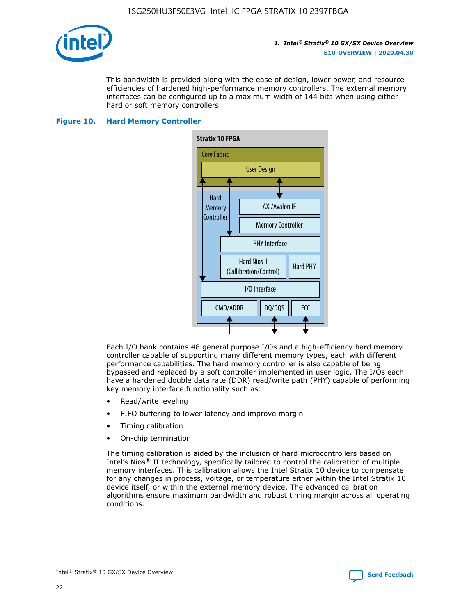

This bandwidth is provided along with the ease of design, lower power, and resource efficiencies of hardened high-performance memory controllers. The external memory interfaces can be configured up to a maximum width of 144 bits when using either hard or soft memory controllers.

## **Figure 10. Hard Memory Controller**



Each I/O bank contains 48 general purpose I/Os and a high-efficiency hard memory controller capable of supporting many different memory types, each with different performance capabilities. The hard memory controller is also capable of being bypassed and replaced by a soft controller implemented in user logic. The I/Os each have a hardened double data rate (DDR) read/write path (PHY) capable of performing key memory interface functionality such as:

- Read/write leveling
- FIFO buffering to lower latency and improve margin
- Timing calibration
- On-chip termination

The timing calibration is aided by the inclusion of hard microcontrollers based on Intel's Nios® II technology, specifically tailored to control the calibration of multiple memory interfaces. This calibration allows the Intel Stratix 10 device to compensate for any changes in process, voltage, or temperature either within the Intel Stratix 10 device itself, or within the external memory device. The advanced calibration algorithms ensure maximum bandwidth and robust timing margin across all operating conditions.

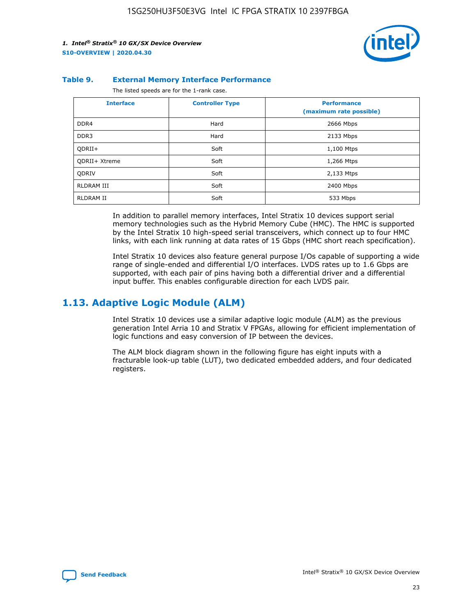

#### **Table 9. External Memory Interface Performance**

The listed speeds are for the 1-rank case.

| <b>Interface</b> | <b>Controller Type</b> | <b>Performance</b><br>(maximum rate possible) |
|------------------|------------------------|-----------------------------------------------|
| DDR4             | Hard                   | 2666 Mbps                                     |
| DDR <sub>3</sub> | Hard                   | 2133 Mbps                                     |
| QDRII+           | Soft                   | 1,100 Mtps                                    |
| QDRII+ Xtreme    | Soft                   | 1,266 Mtps                                    |
| <b>ODRIV</b>     | Soft                   | 2,133 Mtps                                    |
| RLDRAM III       | Soft                   | 2400 Mbps                                     |
| <b>RLDRAM II</b> | Soft                   | 533 Mbps                                      |

In addition to parallel memory interfaces, Intel Stratix 10 devices support serial memory technologies such as the Hybrid Memory Cube (HMC). The HMC is supported by the Intel Stratix 10 high-speed serial transceivers, which connect up to four HMC links, with each link running at data rates of 15 Gbps (HMC short reach specification).

Intel Stratix 10 devices also feature general purpose I/Os capable of supporting a wide range of single-ended and differential I/O interfaces. LVDS rates up to 1.6 Gbps are supported, with each pair of pins having both a differential driver and a differential input buffer. This enables configurable direction for each LVDS pair.

## **1.13. Adaptive Logic Module (ALM)**

Intel Stratix 10 devices use a similar adaptive logic module (ALM) as the previous generation Intel Arria 10 and Stratix V FPGAs, allowing for efficient implementation of logic functions and easy conversion of IP between the devices.

The ALM block diagram shown in the following figure has eight inputs with a fracturable look-up table (LUT), two dedicated embedded adders, and four dedicated registers.

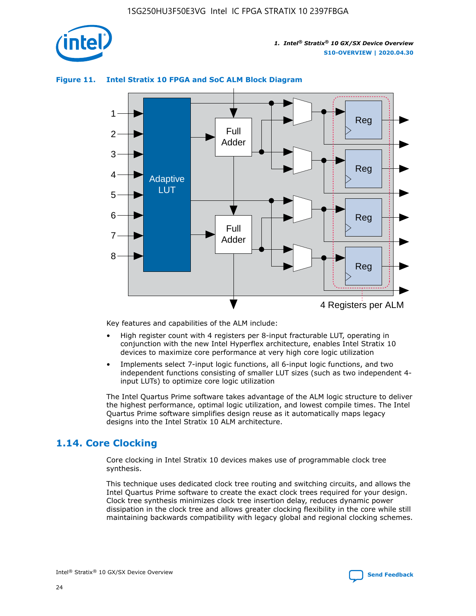

## **Figure 11. Intel Stratix 10 FPGA and SoC ALM Block Diagram**



Key features and capabilities of the ALM include:

- High register count with 4 registers per 8-input fracturable LUT, operating in conjunction with the new Intel Hyperflex architecture, enables Intel Stratix 10 devices to maximize core performance at very high core logic utilization
- Implements select 7-input logic functions, all 6-input logic functions, and two independent functions consisting of smaller LUT sizes (such as two independent 4 input LUTs) to optimize core logic utilization

The Intel Quartus Prime software takes advantage of the ALM logic structure to deliver the highest performance, optimal logic utilization, and lowest compile times. The Intel Quartus Prime software simplifies design reuse as it automatically maps legacy designs into the Intel Stratix 10 ALM architecture.

## **1.14. Core Clocking**

Core clocking in Intel Stratix 10 devices makes use of programmable clock tree synthesis.

This technique uses dedicated clock tree routing and switching circuits, and allows the Intel Quartus Prime software to create the exact clock trees required for your design. Clock tree synthesis minimizes clock tree insertion delay, reduces dynamic power dissipation in the clock tree and allows greater clocking flexibility in the core while still maintaining backwards compatibility with legacy global and regional clocking schemes.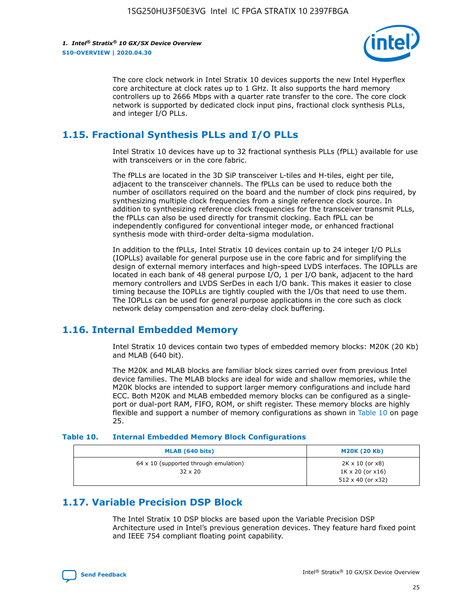

The core clock network in Intel Stratix 10 devices supports the new Intel Hyperflex core architecture at clock rates up to 1 GHz. It also supports the hard memory controllers up to 2666 Mbps with a quarter rate transfer to the core. The core clock network is supported by dedicated clock input pins, fractional clock synthesis PLLs, and integer I/O PLLs.

## **1.15. Fractional Synthesis PLLs and I/O PLLs**

Intel Stratix 10 devices have up to 32 fractional synthesis PLLs (fPLL) available for use with transceivers or in the core fabric.

The fPLLs are located in the 3D SiP transceiver L-tiles and H-tiles, eight per tile, adjacent to the transceiver channels. The fPLLs can be used to reduce both the number of oscillators required on the board and the number of clock pins required, by synthesizing multiple clock frequencies from a single reference clock source. In addition to synthesizing reference clock frequencies for the transceiver transmit PLLs, the fPLLs can also be used directly for transmit clocking. Each fPLL can be independently configured for conventional integer mode, or enhanced fractional synthesis mode with third-order delta-sigma modulation.

In addition to the fPLLs, Intel Stratix 10 devices contain up to 24 integer I/O PLLs (IOPLLs) available for general purpose use in the core fabric and for simplifying the design of external memory interfaces and high-speed LVDS interfaces. The IOPLLs are located in each bank of 48 general purpose I/O, 1 per I/O bank, adjacent to the hard memory controllers and LVDS SerDes in each I/O bank. This makes it easier to close timing because the IOPLLs are tightly coupled with the I/Os that need to use them. The IOPLLs can be used for general purpose applications in the core such as clock network delay compensation and zero-delay clock buffering.

## **1.16. Internal Embedded Memory**

Intel Stratix 10 devices contain two types of embedded memory blocks: M20K (20 Kb) and MLAB (640 bit).

The M20K and MLAB blocks are familiar block sizes carried over from previous Intel device families. The MLAB blocks are ideal for wide and shallow memories, while the M20K blocks are intended to support larger memory configurations and include hard ECC. Both M20K and MLAB embedded memory blocks can be configured as a singleport or dual-port RAM, FIFO, ROM, or shift register. These memory blocks are highly flexible and support a number of memory configurations as shown in Table 10 on page 25.

#### **Table 10. Internal Embedded Memory Block Configurations**

| MLAB (640 bits)                                                | <b>M20K (20 Kb)</b>                                                                    |
|----------------------------------------------------------------|----------------------------------------------------------------------------------------|
| $64 \times 10$ (supported through emulation)<br>$32 \times 20$ | $2K \times 10$ (or $x8$ )<br>$1K \times 20$ (or $x16$ )<br>$512 \times 40$ (or $x32$ ) |

## **1.17. Variable Precision DSP Block**

The Intel Stratix 10 DSP blocks are based upon the Variable Precision DSP Architecture used in Intel's previous generation devices. They feature hard fixed point and IEEE 754 compliant floating point capability.

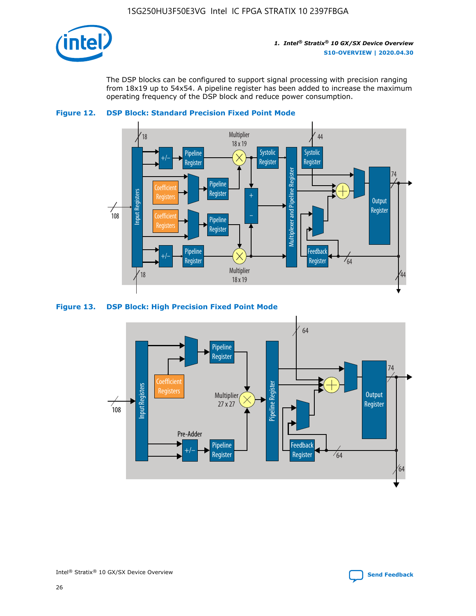

The DSP blocks can be configured to support signal processing with precision ranging from 18x19 up to 54x54. A pipeline register has been added to increase the maximum operating frequency of the DSP block and reduce power consumption.





#### **Figure 13. DSP Block: High Precision Fixed Point Mode**

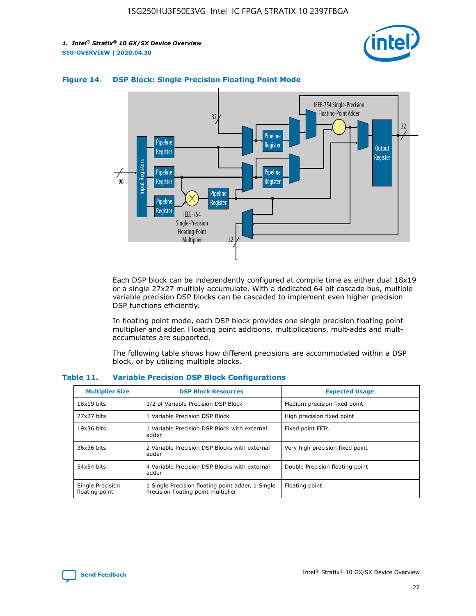



## **Figure 14. DSP Block: Single Precision Floating Point Mode**

Each DSP block can be independently configured at compile time as either dual 18x19 or a single 27x27 multiply accumulate. With a dedicated 64 bit cascade bus, multiple variable precision DSP blocks can be cascaded to implement even higher precision DSP functions efficiently.

In floating point mode, each DSP block provides one single precision floating point multiplier and adder. Floating point additions, multiplications, mult-adds and multaccumulates are supported.

The following table shows how different precisions are accommodated within a DSP block, or by utilizing multiple blocks.

| <b>Multiplier Size</b>             | <b>DSP Block Resources</b>                                                               | <b>Expected Usage</b>           |
|------------------------------------|------------------------------------------------------------------------------------------|---------------------------------|
| $18x19$ bits                       | 1/2 of Variable Precision DSP Block                                                      | Medium precision fixed point    |
| 27x27 bits                         | 1 Variable Precision DSP Block                                                           | High precision fixed point      |
| $19x36$ bits                       | 1 Variable Precision DSP Block with external<br>adder                                    | Fixed point FFTs                |
| 36x36 bits                         | 2 Variable Precision DSP Blocks with external<br>adder                                   | Very high precision fixed point |
| 54x54 bits                         | 4 Variable Precision DSP Blocks with external<br>adder                                   | Double Precision floating point |
| Single Precision<br>floating point | 1 Single Precision floating point adder, 1 Single<br>Precision floating point multiplier | Floating point                  |

#### **Table 11. Variable Precision DSP Block Configurations**

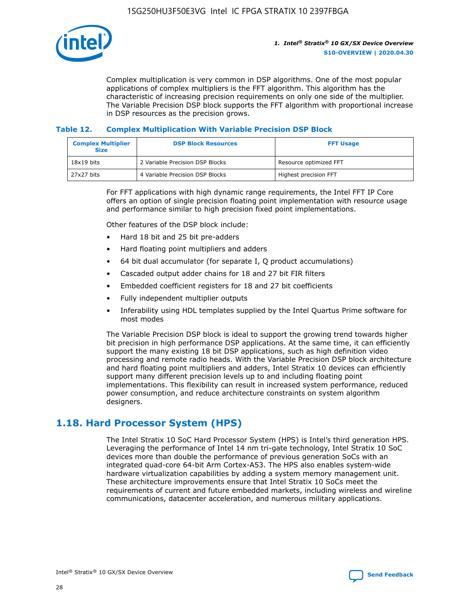

Complex multiplication is very common in DSP algorithms. One of the most popular applications of complex multipliers is the FFT algorithm. This algorithm has the characteristic of increasing precision requirements on only one side of the multiplier. The Variable Precision DSP block supports the FFT algorithm with proportional increase in DSP resources as the precision grows.

## **Table 12. Complex Multiplication With Variable Precision DSP Block**

| <b>Complex Multiplier</b><br><b>Size</b> | <b>DSP Block Resources</b>      | <b>FFT Usage</b>       |
|------------------------------------------|---------------------------------|------------------------|
| $18x19$ bits                             | 2 Variable Precision DSP Blocks | Resource optimized FFT |
| 27x27 bits                               | 4 Variable Precision DSP Blocks | Highest precision FFT  |

For FFT applications with high dynamic range requirements, the Intel FFT IP Core offers an option of single precision floating point implementation with resource usage and performance similar to high precision fixed point implementations.

Other features of the DSP block include:

- Hard 18 bit and 25 bit pre-adders
- Hard floating point multipliers and adders
- 64 bit dual accumulator (for separate I, Q product accumulations)
- Cascaded output adder chains for 18 and 27 bit FIR filters
- Embedded coefficient registers for 18 and 27 bit coefficients
- Fully independent multiplier outputs
- Inferability using HDL templates supplied by the Intel Quartus Prime software for most modes

The Variable Precision DSP block is ideal to support the growing trend towards higher bit precision in high performance DSP applications. At the same time, it can efficiently support the many existing 18 bit DSP applications, such as high definition video processing and remote radio heads. With the Variable Precision DSP block architecture and hard floating point multipliers and adders, Intel Stratix 10 devices can efficiently support many different precision levels up to and including floating point implementations. This flexibility can result in increased system performance, reduced power consumption, and reduce architecture constraints on system algorithm designers.

## **1.18. Hard Processor System (HPS)**

The Intel Stratix 10 SoC Hard Processor System (HPS) is Intel's third generation HPS. Leveraging the performance of Intel 14 nm tri-gate technology, Intel Stratix 10 SoC devices more than double the performance of previous generation SoCs with an integrated quad-core 64-bit Arm Cortex-A53. The HPS also enables system-wide hardware virtualization capabilities by adding a system memory management unit. These architecture improvements ensure that Intel Stratix 10 SoCs meet the requirements of current and future embedded markets, including wireless and wireline communications, datacenter acceleration, and numerous military applications.

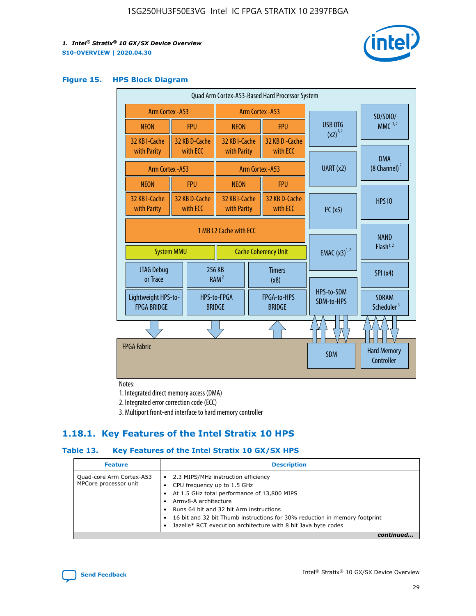

#### **Figure 15. HPS Block Diagram**

| Quad Arm Cortex-A53-Based Hard Processor System |                                             |                           |                              |  |                              |                                     |                                        |
|-------------------------------------------------|---------------------------------------------|---------------------------|------------------------------|--|------------------------------|-------------------------------------|----------------------------------------|
| <b>Arm Cortex - A53</b>                         |                                             |                           | Arm Cortex - A53             |  |                              | SD/SDIO/                            |                                        |
| <b>NEON</b>                                     |                                             | <b>FPU</b>                | <b>NEON</b>                  |  | <b>FPU</b>                   | USB OTG                             | $MMC$ <sup>1,2</sup>                   |
| 32 KB I-Cache                                   |                                             | 32 KB D-Cache             | 32 KB I-Cache                |  | 32 KB D - Cache              | $(x2)^{1,2}$                        |                                        |
| with Parity                                     |                                             | with ECC                  | with Parity                  |  | with ECC                     |                                     | <b>DMA</b>                             |
|                                                 | <b>Arm Cortex - A53</b>                     |                           |                              |  | Arm Cortex - A53             | UART (x2)                           | (8 Channel) <sup>2</sup>               |
| <b>NEON</b>                                     |                                             | <b>FPU</b>                | <b>NEON</b>                  |  | <b>FPU</b>                   |                                     |                                        |
| 32 KB I-Cache<br>with Parity                    |                                             | 32 KB D-Cache<br>with ECC | 32 KB I-Cache<br>with Parity |  | 32 KB D-Cache<br>with ECC    | I <sup>2</sup> C(x5)                | <b>HPS 10</b>                          |
|                                                 | 1 MB L2 Cache with ECC<br><b>System MMU</b> |                           | <b>Cache Coherency Unit</b>  |  | <b>EMAC</b> $(x3)^{1,2}$     | <b>NAND</b><br>Flash <sup>1,2</sup> |                                        |
| JTAG Debug<br>or Trace                          |                                             |                           | 256 KB<br>RAM <sup>2</sup>   |  | <b>Timers</b><br>(x8)        |                                     | SPI(x4)                                |
| Lightweight HPS-to-<br><b>FPGA BRIDGE</b>       |                                             |                           | HPS-to-FPGA<br><b>BRIDGE</b> |  | FPGA-to-HPS<br><b>BRIDGE</b> | HPS-to-SDM<br>SDM-to-HPS            | <b>SDRAM</b><br>Scheduler <sup>3</sup> |
|                                                 |                                             |                           |                              |  |                              |                                     |                                        |
| <b>FPGA Fabric</b>                              |                                             |                           |                              |  |                              | <b>SDM</b>                          | <b>Hard Memory</b><br>Controller       |

Notes:

1. Integrated direct memory access (DMA)

2. Integrated error correction code (ECC)

3. Multiport front-end interface to hard memory controller

## **1.18.1. Key Features of the Intel Stratix 10 HPS**

## **Table 13. Key Features of the Intel Stratix 10 GX/SX HPS**

| <b>Feature</b>                                    | <b>Description</b>                                                                                                                                                                                                                                                                                                                     |
|---------------------------------------------------|----------------------------------------------------------------------------------------------------------------------------------------------------------------------------------------------------------------------------------------------------------------------------------------------------------------------------------------|
| Quad-core Arm Cortex-A53<br>MPCore processor unit | • 2.3 MIPS/MHz instruction efficiency<br>CPU frequency up to 1.5 GHz<br>At 1.5 GHz total performance of 13,800 MIPS<br>Army8-A architecture<br>Runs 64 bit and 32 bit Arm instructions<br>16 bit and 32 bit Thumb instructions for 30% reduction in memory footprint<br>Jazelle* RCT execution architecture with 8 bit Java byte codes |
|                                                   |                                                                                                                                                                                                                                                                                                                                        |

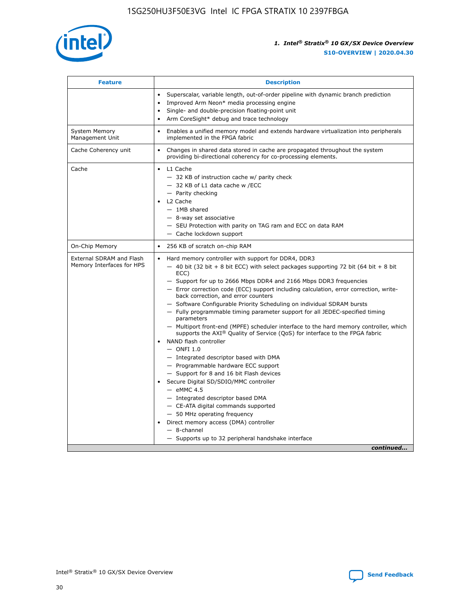

| <b>Feature</b>                                        | <b>Description</b>                                                                                                                                                                                                                                                                                                                                                                                                                                                                                                                                                                                                                                                                                                                                                                                                                                                                                                                                                                                                                                                                                                                                                                                               |  |
|-------------------------------------------------------|------------------------------------------------------------------------------------------------------------------------------------------------------------------------------------------------------------------------------------------------------------------------------------------------------------------------------------------------------------------------------------------------------------------------------------------------------------------------------------------------------------------------------------------------------------------------------------------------------------------------------------------------------------------------------------------------------------------------------------------------------------------------------------------------------------------------------------------------------------------------------------------------------------------------------------------------------------------------------------------------------------------------------------------------------------------------------------------------------------------------------------------------------------------------------------------------------------------|--|
|                                                       | Superscalar, variable length, out-of-order pipeline with dynamic branch prediction<br>Improved Arm Neon* media processing engine<br>Single- and double-precision floating-point unit<br>Arm CoreSight* debug and trace technology<br>٠                                                                                                                                                                                                                                                                                                                                                                                                                                                                                                                                                                                                                                                                                                                                                                                                                                                                                                                                                                           |  |
| <b>System Memory</b><br>Management Unit               | Enables a unified memory model and extends hardware virtualization into peripherals<br>implemented in the FPGA fabric                                                                                                                                                                                                                                                                                                                                                                                                                                                                                                                                                                                                                                                                                                                                                                                                                                                                                                                                                                                                                                                                                            |  |
| Cache Coherency unit                                  | Changes in shared data stored in cache are propagated throughout the system<br>$\bullet$<br>providing bi-directional coherency for co-processing elements.                                                                                                                                                                                                                                                                                                                                                                                                                                                                                                                                                                                                                                                                                                                                                                                                                                                                                                                                                                                                                                                       |  |
| Cache                                                 | L1 Cache<br>$\bullet$<br>- 32 KB of instruction cache w/ parity check<br>- 32 KB of L1 data cache w /ECC<br>- Parity checking<br>L <sub>2</sub> Cache<br>$-$ 1MB shared<br>$-$ 8-way set associative<br>- SEU Protection with parity on TAG ram and ECC on data RAM<br>- Cache lockdown support                                                                                                                                                                                                                                                                                                                                                                                                                                                                                                                                                                                                                                                                                                                                                                                                                                                                                                                  |  |
| On-Chip Memory                                        | 256 KB of scratch on-chip RAM                                                                                                                                                                                                                                                                                                                                                                                                                                                                                                                                                                                                                                                                                                                                                                                                                                                                                                                                                                                                                                                                                                                                                                                    |  |
| External SDRAM and Flash<br>Memory Interfaces for HPS | Hard memory controller with support for DDR4, DDR3<br>$\bullet$<br>$-$ 40 bit (32 bit + 8 bit ECC) with select packages supporting 72 bit (64 bit + 8 bit<br>ECC)<br>- Support for up to 2666 Mbps DDR4 and 2166 Mbps DDR3 frequencies<br>- Error correction code (ECC) support including calculation, error correction, write-<br>back correction, and error counters<br>- Software Configurable Priority Scheduling on individual SDRAM bursts<br>- Fully programmable timing parameter support for all JEDEC-specified timing<br>parameters<br>- Multiport front-end (MPFE) scheduler interface to the hard memory controller, which<br>supports the $AXI^{\circledR}$ Quality of Service (QoS) for interface to the FPGA fabric<br>NAND flash controller<br>$-$ ONFI 1.0<br>- Integrated descriptor based with DMA<br>- Programmable hardware ECC support<br>- Support for 8 and 16 bit Flash devices<br>Secure Digital SD/SDIO/MMC controller<br>$-$ eMMC 4.5<br>- Integrated descriptor based DMA<br>- CE-ATA digital commands supported<br>- 50 MHz operating frequency<br>Direct memory access (DMA) controller<br>٠<br>$-$ 8-channel<br>- Supports up to 32 peripheral handshake interface<br>continued |  |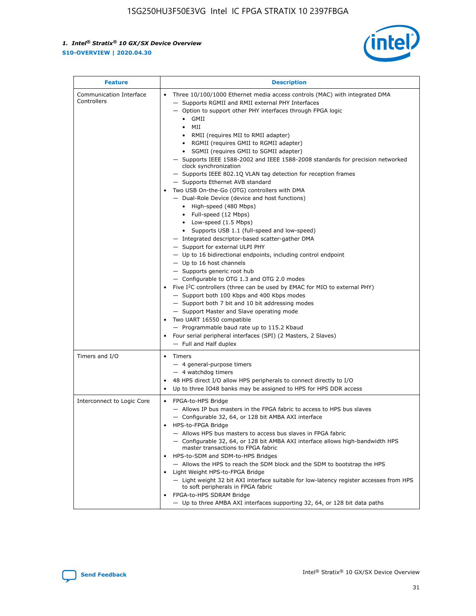

| <b>Feature</b>                         | <b>Description</b>                                                                                                                                                                                                                                                                                                                                                                                                                                                                                                                                                                                                                                                                                                                                                                                                                                                                                                                                                                                                                                                                                                                                                                                                                                                                                                                                                                                                                                                                                                  |  |
|----------------------------------------|---------------------------------------------------------------------------------------------------------------------------------------------------------------------------------------------------------------------------------------------------------------------------------------------------------------------------------------------------------------------------------------------------------------------------------------------------------------------------------------------------------------------------------------------------------------------------------------------------------------------------------------------------------------------------------------------------------------------------------------------------------------------------------------------------------------------------------------------------------------------------------------------------------------------------------------------------------------------------------------------------------------------------------------------------------------------------------------------------------------------------------------------------------------------------------------------------------------------------------------------------------------------------------------------------------------------------------------------------------------------------------------------------------------------------------------------------------------------------------------------------------------------|--|
| Communication Interface<br>Controllers | Three 10/100/1000 Ethernet media access controls (MAC) with integrated DMA<br>$\bullet$<br>- Supports RGMII and RMII external PHY Interfaces<br>- Option to support other PHY interfaces through FPGA logic<br>GMII<br>$\bullet$<br>MII<br>$\bullet$<br>• RMII (requires MII to RMII adapter)<br>• RGMII (requires GMII to RGMII adapter)<br>• SGMII (requires GMII to SGMII adapter)<br>- Supports IEEE 1588-2002 and IEEE 1588-2008 standards for precision networked<br>clock synchronization<br>- Supports IEEE 802.1Q VLAN tag detection for reception frames<br>- Supports Ethernet AVB standard<br>Two USB On-the-Go (OTG) controllers with DMA<br>- Dual-Role Device (device and host functions)<br>• High-speed (480 Mbps)<br>• Full-speed (12 Mbps)<br>• Low-speed (1.5 Mbps)<br>• Supports USB 1.1 (full-speed and low-speed)<br>- Integrated descriptor-based scatter-gather DMA<br>- Support for external ULPI PHY<br>- Up to 16 bidirectional endpoints, including control endpoint<br>$-$ Up to 16 host channels<br>- Supports generic root hub<br>- Configurable to OTG 1.3 and OTG 2.0 modes<br>Five $I^2C$ controllers (three can be used by EMAC for MIO to external PHY)<br>- Support both 100 Kbps and 400 Kbps modes<br>- Support both 7 bit and 10 bit addressing modes<br>- Support Master and Slave operating mode<br>Two UART 16550 compatible<br>- Programmable baud rate up to 115.2 Kbaud<br>• Four serial peripheral interfaces (SPI) (2 Masters, 2 Slaves)<br>- Full and Half duplex |  |
| Timers and I/O                         | $\bullet$ Timers<br>- 4 general-purpose timers<br>$-4$ watchdog timers<br>48 HPS direct I/O allow HPS peripherals to connect directly to I/O<br>Up to three IO48 banks may be assigned to HPS for HPS DDR access                                                                                                                                                                                                                                                                                                                                                                                                                                                                                                                                                                                                                                                                                                                                                                                                                                                                                                                                                                                                                                                                                                                                                                                                                                                                                                    |  |
| Interconnect to Logic Core             | • FPGA-to-HPS Bridge<br>- Allows IP bus masters in the FPGA fabric to access to HPS bus slaves<br>- Configurable 32, 64, or 128 bit AMBA AXI interface<br>HPS-to-FPGA Bridge<br>- Allows HPS bus masters to access bus slaves in FPGA fabric<br>- Configurable 32, 64, or 128 bit AMBA AXI interface allows high-bandwidth HPS<br>master transactions to FPGA fabric<br>HPS-to-SDM and SDM-to-HPS Bridges<br>- Allows the HPS to reach the SDM block and the SDM to bootstrap the HPS<br>Light Weight HPS-to-FPGA Bridge<br>- Light weight 32 bit AXI interface suitable for low-latency register accesses from HPS<br>to soft peripherals in FPGA fabric<br>FPGA-to-HPS SDRAM Bridge<br>- Up to three AMBA AXI interfaces supporting 32, 64, or 128 bit data paths                                                                                                                                                                                                                                                                                                                                                                                                                                                                                                                                                                                                                                                                                                                                                 |  |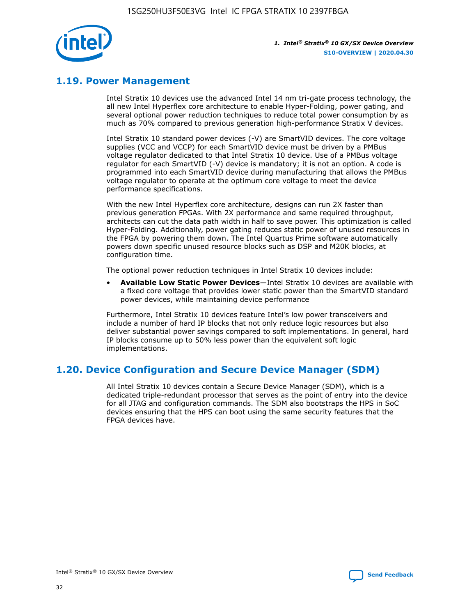

## **1.19. Power Management**

Intel Stratix 10 devices use the advanced Intel 14 nm tri-gate process technology, the all new Intel Hyperflex core architecture to enable Hyper-Folding, power gating, and several optional power reduction techniques to reduce total power consumption by as much as 70% compared to previous generation high-performance Stratix V devices.

Intel Stratix 10 standard power devices (-V) are SmartVID devices. The core voltage supplies (VCC and VCCP) for each SmartVID device must be driven by a PMBus voltage regulator dedicated to that Intel Stratix 10 device. Use of a PMBus voltage regulator for each SmartVID (-V) device is mandatory; it is not an option. A code is programmed into each SmartVID device during manufacturing that allows the PMBus voltage regulator to operate at the optimum core voltage to meet the device performance specifications.

With the new Intel Hyperflex core architecture, designs can run 2X faster than previous generation FPGAs. With 2X performance and same required throughput, architects can cut the data path width in half to save power. This optimization is called Hyper-Folding. Additionally, power gating reduces static power of unused resources in the FPGA by powering them down. The Intel Quartus Prime software automatically powers down specific unused resource blocks such as DSP and M20K blocks, at configuration time.

The optional power reduction techniques in Intel Stratix 10 devices include:

• **Available Low Static Power Devices**—Intel Stratix 10 devices are available with a fixed core voltage that provides lower static power than the SmartVID standard power devices, while maintaining device performance

Furthermore, Intel Stratix 10 devices feature Intel's low power transceivers and include a number of hard IP blocks that not only reduce logic resources but also deliver substantial power savings compared to soft implementations. In general, hard IP blocks consume up to 50% less power than the equivalent soft logic implementations.

## **1.20. Device Configuration and Secure Device Manager (SDM)**

All Intel Stratix 10 devices contain a Secure Device Manager (SDM), which is a dedicated triple-redundant processor that serves as the point of entry into the device for all JTAG and configuration commands. The SDM also bootstraps the HPS in SoC devices ensuring that the HPS can boot using the same security features that the FPGA devices have.

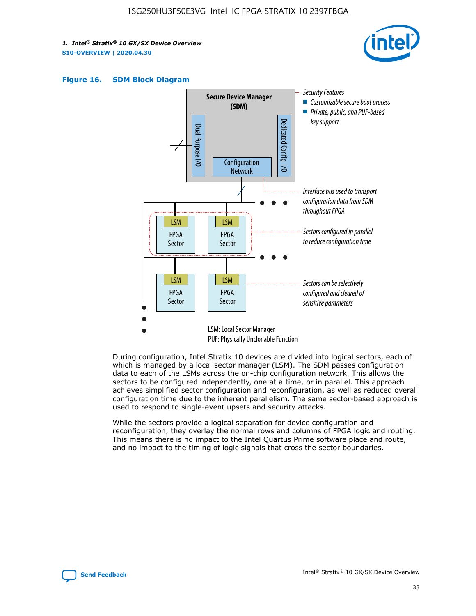





During configuration, Intel Stratix 10 devices are divided into logical sectors, each of which is managed by a local sector manager (LSM). The SDM passes configuration data to each of the LSMs across the on-chip configuration network. This allows the sectors to be configured independently, one at a time, or in parallel. This approach achieves simplified sector configuration and reconfiguration, as well as reduced overall configuration time due to the inherent parallelism. The same sector-based approach is used to respond to single-event upsets and security attacks.

While the sectors provide a logical separation for device configuration and reconfiguration, they overlay the normal rows and columns of FPGA logic and routing. This means there is no impact to the Intel Quartus Prime software place and route, and no impact to the timing of logic signals that cross the sector boundaries.

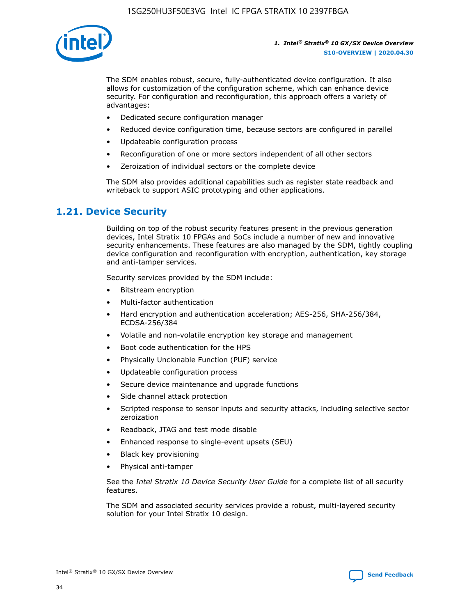

The SDM enables robust, secure, fully-authenticated device configuration. It also allows for customization of the configuration scheme, which can enhance device security. For configuration and reconfiguration, this approach offers a variety of advantages:

- Dedicated secure configuration manager
- Reduced device configuration time, because sectors are configured in parallel
- Updateable configuration process
- Reconfiguration of one or more sectors independent of all other sectors
- Zeroization of individual sectors or the complete device

The SDM also provides additional capabilities such as register state readback and writeback to support ASIC prototyping and other applications.

## **1.21. Device Security**

Building on top of the robust security features present in the previous generation devices, Intel Stratix 10 FPGAs and SoCs include a number of new and innovative security enhancements. These features are also managed by the SDM, tightly coupling device configuration and reconfiguration with encryption, authentication, key storage and anti-tamper services.

Security services provided by the SDM include:

- Bitstream encryption
- Multi-factor authentication
- Hard encryption and authentication acceleration; AES-256, SHA-256/384, ECDSA-256/384
- Volatile and non-volatile encryption key storage and management
- Boot code authentication for the HPS
- Physically Unclonable Function (PUF) service
- Updateable configuration process
- Secure device maintenance and upgrade functions
- Side channel attack protection
- Scripted response to sensor inputs and security attacks, including selective sector zeroization
- Readback, JTAG and test mode disable
- Enhanced response to single-event upsets (SEU)
- Black key provisioning
- Physical anti-tamper

See the *Intel Stratix 10 Device Security User Guide* for a complete list of all security features.

The SDM and associated security services provide a robust, multi-layered security solution for your Intel Stratix 10 design.

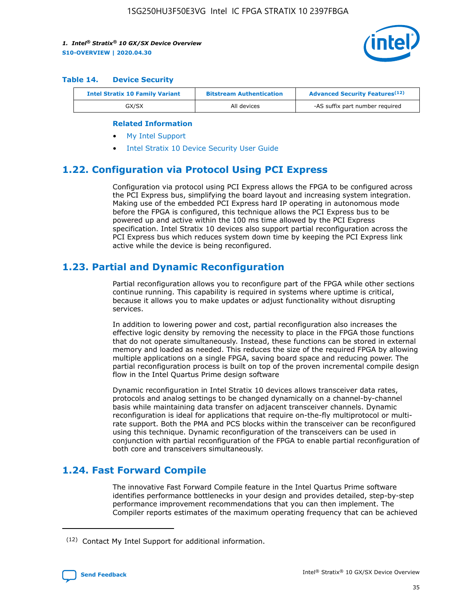

#### **Table 14. Device Security**

| <b>Intel Stratix 10 Family Variant</b> | <b>Bitstream Authentication</b> | <b>Advanced Security Features</b> <sup>(12)</sup> |  |
|----------------------------------------|---------------------------------|---------------------------------------------------|--|
| GX/SX                                  | All devices                     | -AS suffix part number required                   |  |

#### **Related Information**

- [My Intel Support](https://www.intel.com/content/www/us/en/programmable/my-intel/mal-home.html)
- [Intel Stratix 10 Device Security User Guide](https://www.intel.com/content/www/us/en/programmable/documentation/ndq1483601370898.html#wcd1483611014402)

## **1.22. Configuration via Protocol Using PCI Express**

Configuration via protocol using PCI Express allows the FPGA to be configured across the PCI Express bus, simplifying the board layout and increasing system integration. Making use of the embedded PCI Express hard IP operating in autonomous mode before the FPGA is configured, this technique allows the PCI Express bus to be powered up and active within the 100 ms time allowed by the PCI Express specification. Intel Stratix 10 devices also support partial reconfiguration across the PCI Express bus which reduces system down time by keeping the PCI Express link active while the device is being reconfigured.

## **1.23. Partial and Dynamic Reconfiguration**

Partial reconfiguration allows you to reconfigure part of the FPGA while other sections continue running. This capability is required in systems where uptime is critical, because it allows you to make updates or adjust functionality without disrupting services.

In addition to lowering power and cost, partial reconfiguration also increases the effective logic density by removing the necessity to place in the FPGA those functions that do not operate simultaneously. Instead, these functions can be stored in external memory and loaded as needed. This reduces the size of the required FPGA by allowing multiple applications on a single FPGA, saving board space and reducing power. The partial reconfiguration process is built on top of the proven incremental compile design flow in the Intel Quartus Prime design software

Dynamic reconfiguration in Intel Stratix 10 devices allows transceiver data rates, protocols and analog settings to be changed dynamically on a channel-by-channel basis while maintaining data transfer on adjacent transceiver channels. Dynamic reconfiguration is ideal for applications that require on-the-fly multiprotocol or multirate support. Both the PMA and PCS blocks within the transceiver can be reconfigured using this technique. Dynamic reconfiguration of the transceivers can be used in conjunction with partial reconfiguration of the FPGA to enable partial reconfiguration of both core and transceivers simultaneously.

## **1.24. Fast Forward Compile**

The innovative Fast Forward Compile feature in the Intel Quartus Prime software identifies performance bottlenecks in your design and provides detailed, step-by-step performance improvement recommendations that you can then implement. The Compiler reports estimates of the maximum operating frequency that can be achieved

<sup>(12)</sup> Contact My Intel Support for additional information.

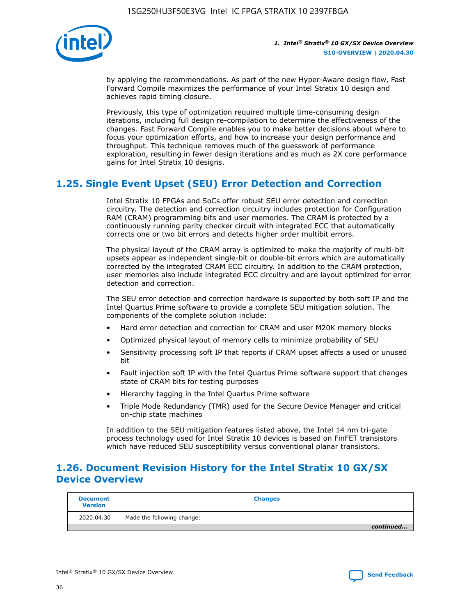

by applying the recommendations. As part of the new Hyper-Aware design flow, Fast Forward Compile maximizes the performance of your Intel Stratix 10 design and achieves rapid timing closure.

Previously, this type of optimization required multiple time-consuming design iterations, including full design re-compilation to determine the effectiveness of the changes. Fast Forward Compile enables you to make better decisions about where to focus your optimization efforts, and how to increase your design performance and throughput. This technique removes much of the guesswork of performance exploration, resulting in fewer design iterations and as much as 2X core performance gains for Intel Stratix 10 designs.

## **1.25. Single Event Upset (SEU) Error Detection and Correction**

Intel Stratix 10 FPGAs and SoCs offer robust SEU error detection and correction circuitry. The detection and correction circuitry includes protection for Configuration RAM (CRAM) programming bits and user memories. The CRAM is protected by a continuously running parity checker circuit with integrated ECC that automatically corrects one or two bit errors and detects higher order multibit errors.

The physical layout of the CRAM array is optimized to make the majority of multi-bit upsets appear as independent single-bit or double-bit errors which are automatically corrected by the integrated CRAM ECC circuitry. In addition to the CRAM protection, user memories also include integrated ECC circuitry and are layout optimized for error detection and correction.

The SEU error detection and correction hardware is supported by both soft IP and the Intel Quartus Prime software to provide a complete SEU mitigation solution. The components of the complete solution include:

- Hard error detection and correction for CRAM and user M20K memory blocks
- Optimized physical layout of memory cells to minimize probability of SEU
- Sensitivity processing soft IP that reports if CRAM upset affects a used or unused bit
- Fault injection soft IP with the Intel Quartus Prime software support that changes state of CRAM bits for testing purposes
- Hierarchy tagging in the Intel Quartus Prime software
- Triple Mode Redundancy (TMR) used for the Secure Device Manager and critical on-chip state machines

In addition to the SEU mitigation features listed above, the Intel 14 nm tri-gate process technology used for Intel Stratix 10 devices is based on FinFET transistors which have reduced SEU susceptibility versus conventional planar transistors.

## **1.26. Document Revision History for the Intel Stratix 10 GX/SX Device Overview**

| <b>Document</b><br><b>Version</b> | <b>Changes</b>             |
|-----------------------------------|----------------------------|
| 2020.04.30                        | Made the following change: |
|                                   | continued                  |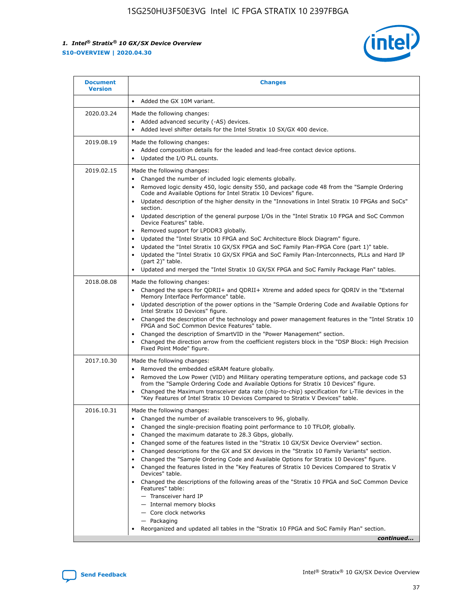

| • Added the GX 10M variant.<br>Made the following changes:<br>Added advanced security (-AS) devices.<br>$\bullet$<br>Added level shifter details for the Intel Stratix 10 SX/GX 400 device.<br>$\bullet$<br>Made the following changes:<br>Added composition details for the leaded and lead-free contact device options.                                                                                                                                                                                                                                                                                                                                                                                                                                                                                                                                                                                                                                                                                                     |
|-------------------------------------------------------------------------------------------------------------------------------------------------------------------------------------------------------------------------------------------------------------------------------------------------------------------------------------------------------------------------------------------------------------------------------------------------------------------------------------------------------------------------------------------------------------------------------------------------------------------------------------------------------------------------------------------------------------------------------------------------------------------------------------------------------------------------------------------------------------------------------------------------------------------------------------------------------------------------------------------------------------------------------|
|                                                                                                                                                                                                                                                                                                                                                                                                                                                                                                                                                                                                                                                                                                                                                                                                                                                                                                                                                                                                                               |
|                                                                                                                                                                                                                                                                                                                                                                                                                                                                                                                                                                                                                                                                                                                                                                                                                                                                                                                                                                                                                               |
| Updated the I/O PLL counts.<br>$\bullet$                                                                                                                                                                                                                                                                                                                                                                                                                                                                                                                                                                                                                                                                                                                                                                                                                                                                                                                                                                                      |
| Made the following changes:<br>Changed the number of included logic elements globally.<br>$\bullet$<br>Removed logic density 450, logic density 550, and package code 48 from the "Sample Ordering<br>$\bullet$<br>Code and Available Options for Intel Stratix 10 Devices" figure.<br>Updated description of the higher density in the "Innovations in Intel Stratix 10 FPGAs and SoCs"<br>section.<br>Updated description of the general purpose I/Os in the "Intel Stratix 10 FPGA and SoC Common<br>$\bullet$<br>Device Features" table.<br>Removed support for LPDDR3 globally.<br>٠<br>Updated the "Intel Stratix 10 FPGA and SoC Architecture Block Diagram" figure.<br>Updated the "Intel Stratix 10 GX/SX FPGA and SoC Family Plan-FPGA Core (part 1)" table.<br>$\bullet$<br>Updated the "Intel Stratix 10 GX/SX FPGA and SoC Family Plan-Interconnects, PLLs and Hard IP<br>$\bullet$<br>(part 2)" table.<br>Updated and merged the "Intel Stratix 10 GX/SX FPGA and SoC Family Package Plan" tables.<br>$\bullet$ |
| Made the following changes:<br>Changed the specs for ODRII+ and ODRII+ Xtreme and added specs for ODRIV in the "External<br>$\bullet$<br>Memory Interface Performance" table.<br>Updated description of the power options in the "Sample Ordering Code and Available Options for<br>Intel Stratix 10 Devices" figure.<br>Changed the description of the technology and power management features in the "Intel Stratix 10<br>FPGA and SoC Common Device Features" table.<br>Changed the description of SmartVID in the "Power Management" section.<br>Changed the direction arrow from the coefficient registers block in the "DSP Block: High Precision<br>Fixed Point Mode" figure.                                                                                                                                                                                                                                                                                                                                         |
| Made the following changes:<br>Removed the embedded eSRAM feature globally.<br>$\bullet$<br>Removed the Low Power (VID) and Military operating temperature options, and package code 53<br>$\bullet$<br>from the "Sample Ordering Code and Available Options for Stratix 10 Devices" figure.<br>Changed the Maximum transceiver data rate (chip-to-chip) specification for L-Tile devices in the<br>٠<br>"Key Features of Intel Stratix 10 Devices Compared to Stratix V Devices" table.                                                                                                                                                                                                                                                                                                                                                                                                                                                                                                                                      |
| Made the following changes:<br>• Changed the number of available transceivers to 96, globally.<br>Changed the single-precision floating point performance to 10 TFLOP, globally.<br>Changed the maximum datarate to 28.3 Gbps, globally.<br>Changed some of the features listed in the "Stratix 10 GX/SX Device Overview" section.<br>٠<br>Changed descriptions for the GX and SX devices in the "Stratix 10 Family Variants" section.<br>٠<br>Changed the "Sample Ordering Code and Available Options for Stratix 10 Devices" figure.<br>٠<br>Changed the features listed in the "Key Features of Stratix 10 Devices Compared to Stratix V<br>٠<br>Devices" table.<br>Changed the descriptions of the following areas of the "Stratix 10 FPGA and SoC Common Device<br>Features" table:<br>- Transceiver hard IP<br>- Internal memory blocks<br>- Core clock networks<br>- Packaging<br>Reorganized and updated all tables in the "Stratix 10 FPGA and SoC Family Plan" section.<br>continued                                |
|                                                                                                                                                                                                                                                                                                                                                                                                                                                                                                                                                                                                                                                                                                                                                                                                                                                                                                                                                                                                                               |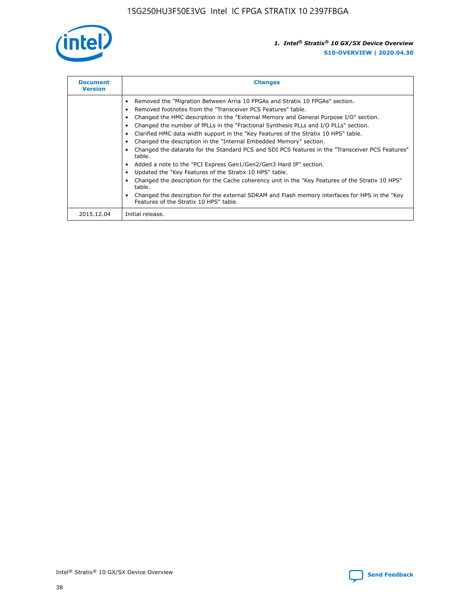

| <b>Document</b><br><b>Version</b> | <b>Changes</b>                                                                                                                                                                                                                                                                                                                                                                                                                                                                                                                                                                                                                                                                                                                                                                                                                                                                                                                                                                                     |
|-----------------------------------|----------------------------------------------------------------------------------------------------------------------------------------------------------------------------------------------------------------------------------------------------------------------------------------------------------------------------------------------------------------------------------------------------------------------------------------------------------------------------------------------------------------------------------------------------------------------------------------------------------------------------------------------------------------------------------------------------------------------------------------------------------------------------------------------------------------------------------------------------------------------------------------------------------------------------------------------------------------------------------------------------|
|                                   | Removed the "Migration Between Arria 10 FPGAs and Stratix 10 FPGAs" section.<br>Removed footnotes from the "Transceiver PCS Features" table.<br>Changed the HMC description in the "External Memory and General Purpose I/O" section.<br>Changed the number of fPLLs in the "Fractional Synthesis PLLs and I/O PLLs" section.<br>Clarified HMC data width support in the "Key Features of the Stratix 10 HPS" table.<br>Changed the description in the "Internal Embedded Memory" section.<br>Changed the datarate for the Standard PCS and SDI PCS features in the "Transceiver PCS Features"<br>table.<br>Added a note to the "PCI Express Gen1/Gen2/Gen3 Hard IP" section.<br>Updated the "Key Features of the Stratix 10 HPS" table.<br>Changed the description for the Cache coherency unit in the "Key Features of the Stratix 10 HPS"<br>table.<br>Changed the description for the external SDRAM and Flash memory interfaces for HPS in the "Key<br>Features of the Stratix 10 HPS" table. |
| 2015.12.04                        | Initial release.                                                                                                                                                                                                                                                                                                                                                                                                                                                                                                                                                                                                                                                                                                                                                                                                                                                                                                                                                                                   |